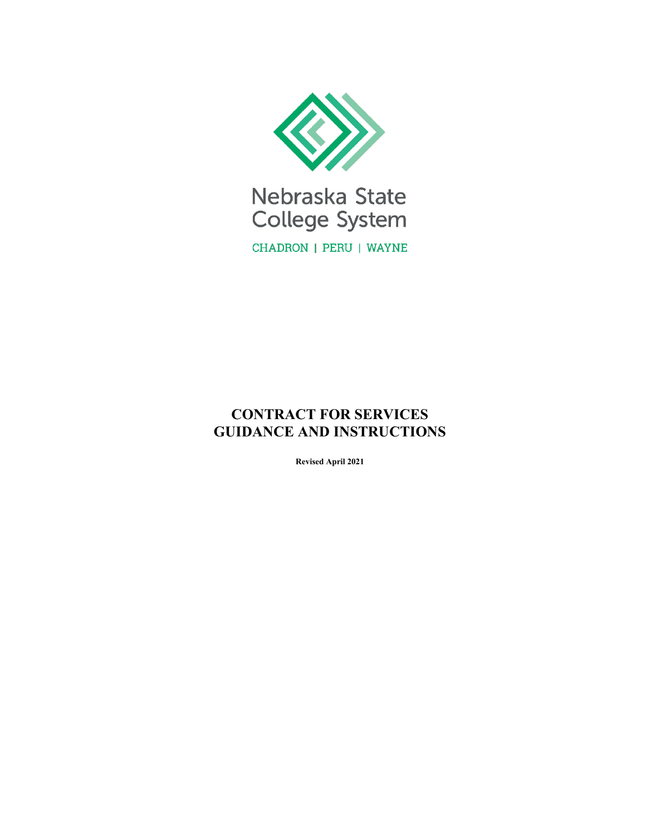

Nebraska State College System CHADRON | PERU | WAYNE

# **CONTRACT FOR SERVICES GUIDANCE AND INSTRUCTIONS**

**Revised April 2021**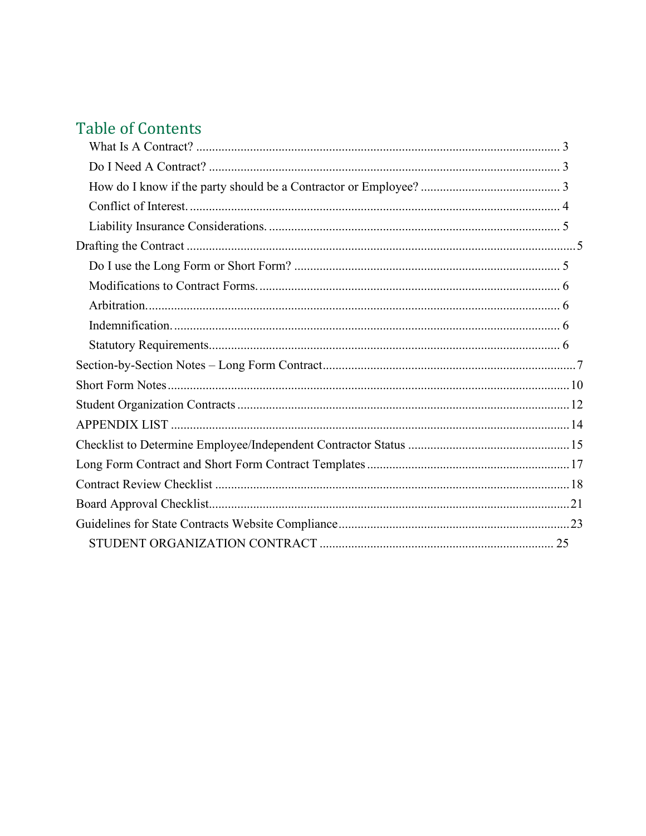# **Table of Contents**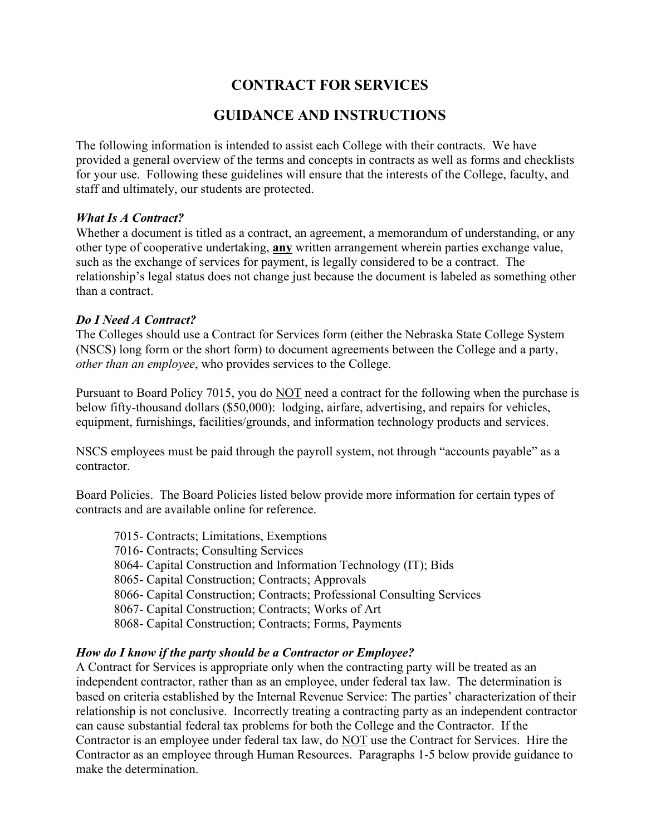# **CONTRACT FOR SERVICES**

# **GUIDANCE AND INSTRUCTIONS**

The following information is intended to assist each College with their contracts. We have provided a general overview of the terms and concepts in contracts as well as forms and checklists for your use. Following these guidelines will ensure that the interests of the College, faculty, and staff and ultimately, our students are protected.

### <span id="page-2-0"></span>*What Is A Contract?*

Whether a document is titled as a contract, an agreement, a memorandum of understanding, or any other type of cooperative undertaking, **any** written arrangement wherein parties exchange value, such as the exchange of services for payment, is legally considered to be a contract. The relationship's legal status does not change just because the document is labeled as something other than a contract.

### <span id="page-2-1"></span>*Do I Need A Contract?*

The Colleges should use a Contract for Services form (either the Nebraska State College System (NSCS) long form or the short form) to document agreements between the College and a party, *other than an employee*, who provides services to the College.

Pursuant to Board Policy 7015, you do NOT need a contract for the following when the purchase is below fifty-thousand dollars (\$50,000): lodging, airfare, advertising, and repairs for vehicles, equipment, furnishings, facilities/grounds, and information technology products and services.

NSCS employees must be paid through the payroll system, not through "accounts payable" as a contractor.

Board Policies. The Board Policies listed below provide more information for certain types of contracts and are available online for reference.

7015- Contracts; Limitations, Exemptions 7016- Contracts; Consulting Services 8064- Capital Construction and Information Technology (IT); Bids 8065- Capital Construction; Contracts; Approvals 8066- Capital Construction; Contracts; Professional Consulting Services 8067- Capital Construction; Contracts; Works of Art 8068- Capital Construction; Contracts; Forms, Payments

# <span id="page-2-2"></span>*How do I know if the party should be a Contractor or Employee?*

A Contract for Services is appropriate only when the contracting party will be treated as an independent contractor, rather than as an employee, under federal tax law. The determination is based on criteria established by the Internal Revenue Service: The parties' characterization of their relationship is not conclusive. Incorrectly treating a contracting party as an independent contractor can cause substantial federal tax problems for both the College and the Contractor. If the Contractor is an employee under federal tax law, do NOT use the Contract for Services. Hire the Contractor as an employee through Human Resources. Paragraphs 1-5 below provide guidance to make the determination.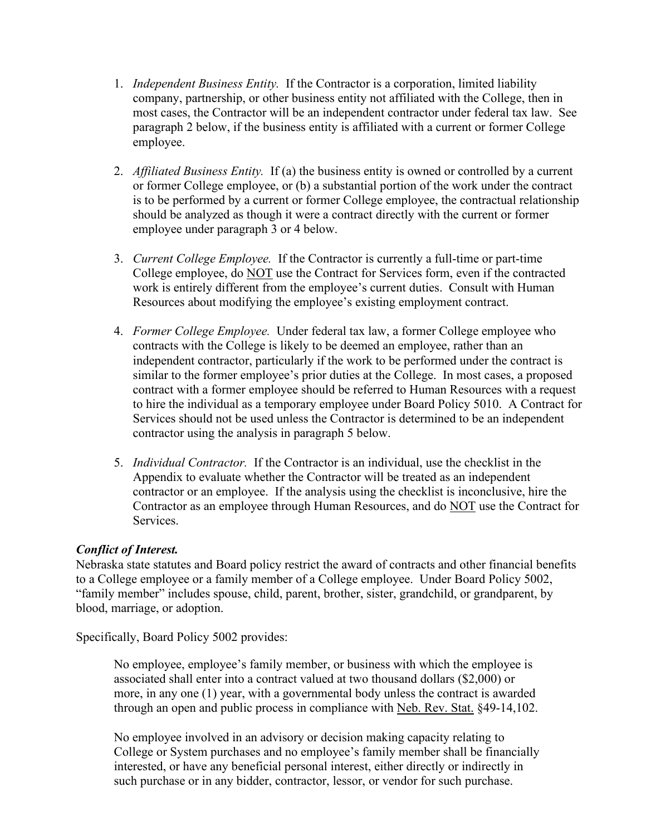- 1. *Independent Business Entity.* If the Contractor is a corporation, limited liability company, partnership, or other business entity not affiliated with the College, then in most cases, the Contractor will be an independent contractor under federal tax law. See paragraph 2 below, if the business entity is affiliated with a current or former College employee.
- 2. *Affiliated Business Entity.* If (a) the business entity is owned or controlled by a current or former College employee, or (b) a substantial portion of the work under the contract is to be performed by a current or former College employee, the contractual relationship should be analyzed as though it were a contract directly with the current or former employee under paragraph 3 or 4 below.
- 3. *Current College Employee.* If the Contractor is currently a full-time or part-time College employee, do NOT use the Contract for Services form, even if the contracted work is entirely different from the employee's current duties. Consult with Human Resources about modifying the employee's existing employment contract.
- 4. *Former College Employee.* Under federal tax law, a former College employee who contracts with the College is likely to be deemed an employee, rather than an independent contractor, particularly if the work to be performed under the contract is similar to the former employee's prior duties at the College. In most cases, a proposed contract with a former employee should be referred to Human Resources with a request to hire the individual as a temporary employee under Board Policy 5010. A Contract for Services should not be used unless the Contractor is determined to be an independent contractor using the analysis in paragraph 5 below.
- 5. *Individual Contractor.* If the Contractor is an individual, use the checklist in the Appendix to evaluate whether the Contractor will be treated as an independent contractor or an employee. If the analysis using the checklist is inconclusive, hire the Contractor as an employee through Human Resources, and do NOT use the Contract for Services.

# <span id="page-3-0"></span>*Conflict of Interest.*

Nebraska state statutes and Board policy restrict the award of contracts and other financial benefits to a College employee or a family member of a College employee. Under Board Policy 5002, "family member" includes spouse, child, parent, brother, sister, grandchild, or grandparent, by blood, marriage, or adoption.

Specifically, Board Policy 5002 provides:

No employee, employee's family member, or business with which the employee is associated shall enter into a contract valued at two thousand dollars (\$2,000) or more, in any one (1) year, with a governmental body unless the contract is awarded through an open and public process in compliance with Neb. Rev. Stat. §49-14,102.

No employee involved in an advisory or decision making capacity relating to College or System purchases and no employee's family member shall be financially interested, or have any beneficial personal interest, either directly or indirectly in such purchase or in any bidder, contractor, lessor, or vendor for such purchase.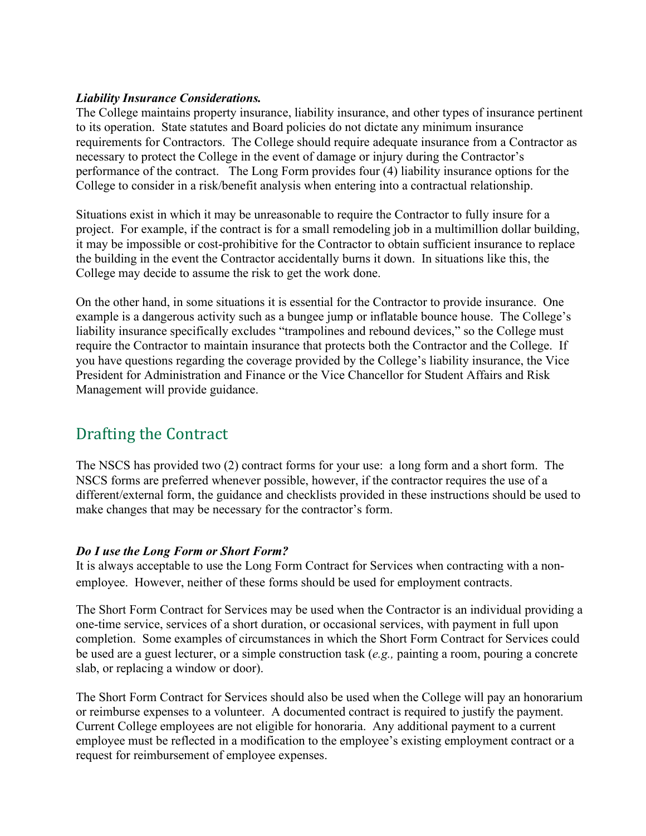### <span id="page-4-0"></span>*Liability Insurance Considerations.*

The College maintains property insurance, liability insurance, and other types of insurance pertinent to its operation. State statutes and Board policies do not dictate any minimum insurance requirements for Contractors. The College should require adequate insurance from a Contractor as necessary to protect the College in the event of damage or injury during the Contractor's performance of the contract. The Long Form provides four (4) liability insurance options for the College to consider in a risk/benefit analysis when entering into a contractual relationship.

Situations exist in which it may be unreasonable to require the Contractor to fully insure for a project. For example, if the contract is for a small remodeling job in a multimillion dollar building, it may be impossible or cost-prohibitive for the Contractor to obtain sufficient insurance to replace the building in the event the Contractor accidentally burns it down. In situations like this, the College may decide to assume the risk to get the work done.

On the other hand, in some situations it is essential for the Contractor to provide insurance. One example is a dangerous activity such as a bungee jump or inflatable bounce house. The College's liability insurance specifically excludes "trampolines and rebound devices," so the College must require the Contractor to maintain insurance that protects both the Contractor and the College. If you have questions regarding the coverage provided by the College's liability insurance, the Vice President for Administration and Finance or the Vice Chancellor for Student Affairs and Risk Management will provide guidance.

# <span id="page-4-1"></span>Drafting the Contract

The NSCS has provided two (2) contract forms for your use: a long form and a short form. The NSCS forms are preferred whenever possible, however, if the contractor requires the use of a different/external form, the guidance and checklists provided in these instructions should be used to make changes that may be necessary for the contractor's form.

# <span id="page-4-2"></span>*Do I use the Long Form or Short Form?*

It is always acceptable to use the Long Form Contract for Services when contracting with a nonemployee. However, neither of these forms should be used for employment contracts.

The Short Form Contract for Services may be used when the Contractor is an individual providing a one-time service, services of a short duration, or occasional services, with payment in full upon completion. Some examples of circumstances in which the Short Form Contract for Services could be used are a guest lecturer, or a simple construction task (*e.g.,* painting a room, pouring a concrete slab, or replacing a window or door).

The Short Form Contract for Services should also be used when the College will pay an honorarium or reimburse expenses to a volunteer. A documented contract is required to justify the payment. Current College employees are not eligible for honoraria. Any additional payment to a current employee must be reflected in a modification to the employee's existing employment contract or a request for reimbursement of employee expenses.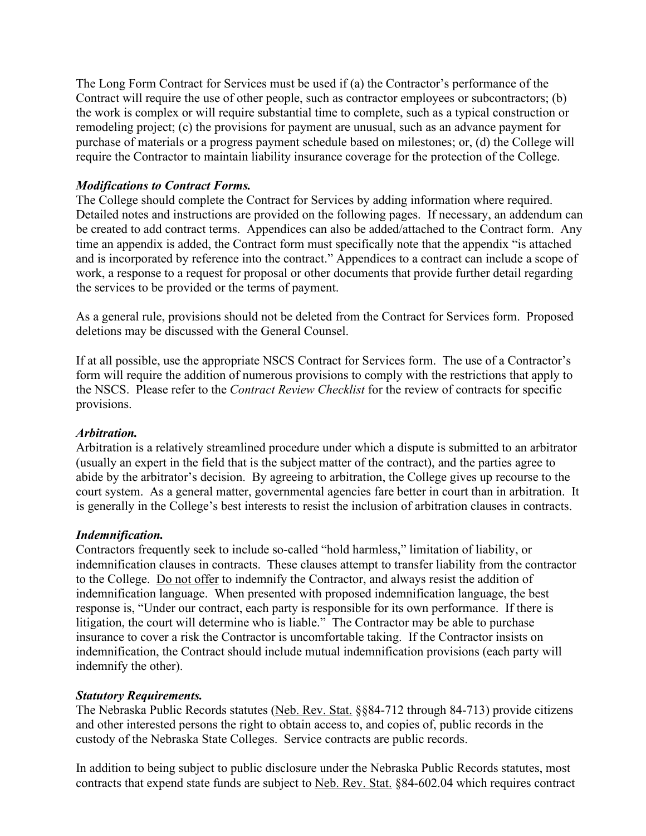The Long Form Contract for Services must be used if (a) the Contractor's performance of the Contract will require the use of other people, such as contractor employees or subcontractors; (b) the work is complex or will require substantial time to complete, such as a typical construction or remodeling project; (c) the provisions for payment are unusual, such as an advance payment for purchase of materials or a progress payment schedule based on milestones; or, (d) the College will require the Contractor to maintain liability insurance coverage for the protection of the College.

# <span id="page-5-0"></span>*Modifications to Contract Forms.*

The College should complete the Contract for Services by adding information where required. Detailed notes and instructions are provided on the following pages. If necessary, an addendum can be created to add contract terms. Appendices can also be added/attached to the Contract form. Any time an appendix is added, the Contract form must specifically note that the appendix "is attached and is incorporated by reference into the contract." Appendices to a contract can include a scope of work, a response to a request for proposal or other documents that provide further detail regarding the services to be provided or the terms of payment.

As a general rule, provisions should not be deleted from the Contract for Services form. Proposed deletions may be discussed with the General Counsel.

If at all possible, use the appropriate NSCS Contract for Services form. The use of a Contractor's form will require the addition of numerous provisions to comply with the restrictions that apply to the NSCS. Please refer to the *Contract Review Checklist* for the review of contracts for specific provisions.

#### <span id="page-5-1"></span>*Arbitration.*

Arbitration is a relatively streamlined procedure under which a dispute is submitted to an arbitrator (usually an expert in the field that is the subject matter of the contract), and the parties agree to abide by the arbitrator's decision. By agreeing to arbitration, the College gives up recourse to the court system. As a general matter, governmental agencies fare better in court than in arbitration. It is generally in the College's best interests to resist the inclusion of arbitration clauses in contracts.

#### <span id="page-5-2"></span>*Indemnification.*

Contractors frequently seek to include so-called "hold harmless," limitation of liability, or indemnification clauses in contracts. These clauses attempt to transfer liability from the contractor to the College. Do not offer to indemnify the Contractor, and always resist the addition of indemnification language. When presented with proposed indemnification language, the best response is, "Under our contract, each party is responsible for its own performance. If there is litigation, the court will determine who is liable." The Contractor may be able to purchase insurance to cover a risk the Contractor is uncomfortable taking. If the Contractor insists on indemnification, the Contract should include mutual indemnification provisions (each party will indemnify the other).

#### <span id="page-5-3"></span>*Statutory Requirements.*

The Nebraska Public Records statutes (Neb. Rev. Stat. §§84-712 through 84-713) provide citizens and other interested persons the right to obtain access to, and copies of, public records in the custody of the Nebraska State Colleges. Service contracts are public records.

In addition to being subject to public disclosure under the Nebraska Public Records statutes, most contracts that expend state funds are subject to Neb. Rev. Stat. §84-602.04 which requires contract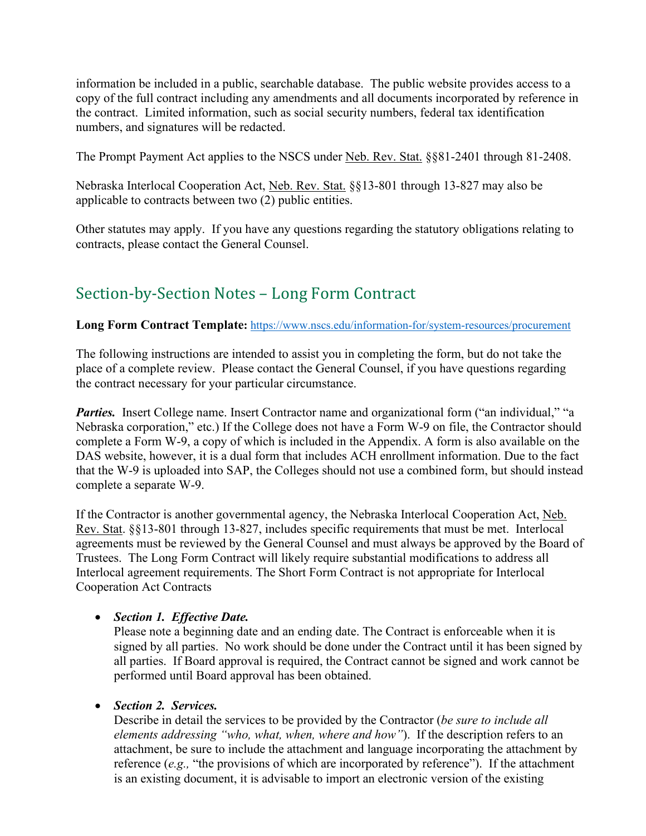information be included in a public, searchable database. The public website provides access to a copy of the full contract including any amendments and all documents incorporated by reference in the contract. Limited information, such as social security numbers, federal tax identification numbers, and signatures will be redacted.

The Prompt Payment Act applies to the NSCS under Neb. Rev. Stat. §§81-2401 through 81-2408.

Nebraska Interlocal Cooperation Act, Neb. Rev. Stat. §§13-801 through 13-827 may also be applicable to contracts between two (2) public entities.

Other statutes may apply. If you have any questions regarding the statutory obligations relating to contracts, please contact the General Counsel.

# <span id="page-6-0"></span>Section-by-Section Notes – Long Form Contract

# Long Form Contract Template: <https://www.nscs.edu/information-for/system-resources/procurement>

The following instructions are intended to assist you in completing the form, but do not take the place of a complete review. Please contact the General Counsel, if you have questions regarding the contract necessary for your particular circumstance.

*Parties.* Insert College name. Insert Contractor name and organizational form ("an individual," "a Nebraska corporation," etc.) If the College does not have a Form W-9 on file, the Contractor should complete a Form W-9, a copy of which is included in the Appendix. A form is also available on the DAS website, however, it is a dual form that includes ACH enrollment information. Due to the fact that the W-9 is uploaded into SAP, the Colleges should not use a combined form, but should instead complete a separate W-9.

If the Contractor is another governmental agency, the Nebraska Interlocal Cooperation Act, Neb. Rev. Stat. §§13-801 through 13-827, includes specific requirements that must be met. Interlocal agreements must be reviewed by the General Counsel and must always be approved by the Board of Trustees. The Long Form Contract will likely require substantial modifications to address all Interlocal agreement requirements. The Short Form Contract is not appropriate for Interlocal Cooperation Act Contracts

# • *Section 1. Effective Date.*

Please note a beginning date and an ending date. The Contract is enforceable when it is signed by all parties. No work should be done under the Contract until it has been signed by all parties. If Board approval is required, the Contract cannot be signed and work cannot be performed until Board approval has been obtained.

# • *Section 2. Services.*

Describe in detail the services to be provided by the Contractor (*be sure to include all elements addressing "who, what, when, where and how"*). If the description refers to an attachment, be sure to include the attachment and language incorporating the attachment by reference (*e.g.,* "the provisions of which are incorporated by reference"). If the attachment is an existing document, it is advisable to import an electronic version of the existing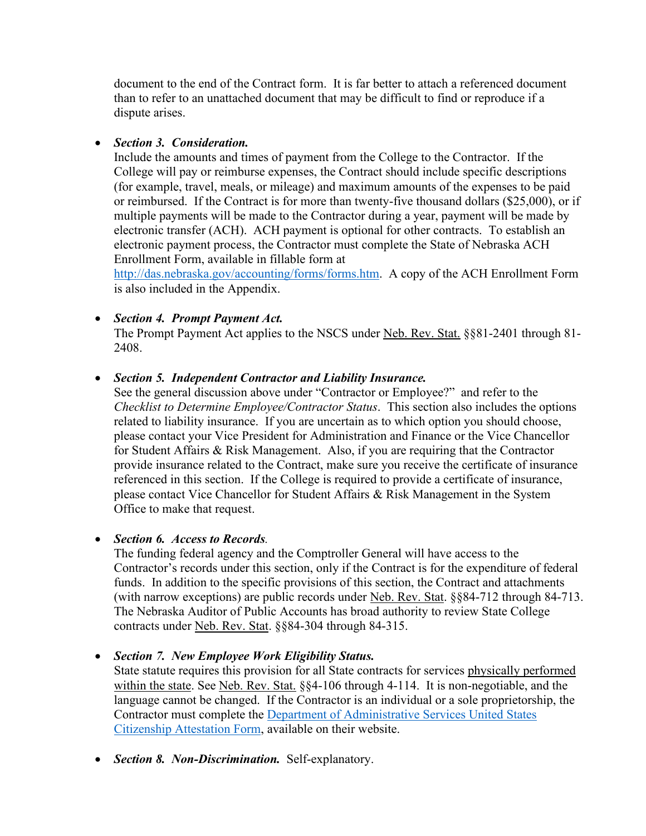document to the end of the Contract form. It is far better to attach a referenced document than to refer to an unattached document that may be difficult to find or reproduce if a dispute arises.

# • *Section 3. Consideration.*

Include the amounts and times of payment from the College to the Contractor. If the College will pay or reimburse expenses, the Contract should include specific descriptions (for example, travel, meals, or mileage) and maximum amounts of the expenses to be paid or reimbursed. If the Contract is for more than twenty-five thousand dollars (\$25,000), or if multiple payments will be made to the Contractor during a year, payment will be made by electronic transfer (ACH). ACH payment is optional for other contracts. To establish an electronic payment process, the Contractor must complete the State of Nebraska ACH Enrollment Form, available in fillable form at

[http://das.nebraska.gov/accounting/forms/forms.htm.](http://das.nebraska.gov/accounting/forms/forms.htm) A copy of the ACH Enrollment Form is also included in the Appendix.

# • *Section 4. Prompt Payment Act.*

The Prompt Payment Act applies to the NSCS under Neb. Rev. Stat. §§81-2401 through 81-2408.

# • *Section 5. Independent Contractor and Liability Insurance.*

See the general discussion above under "Contractor or Employee?" and refer to the *Checklist to Determine Employee/Contractor Status*. This section also includes the options related to liability insurance. If you are uncertain as to which option you should choose, please contact your Vice President for Administration and Finance or the Vice Chancellor for Student Affairs & Risk Management. Also, if you are requiring that the Contractor provide insurance related to the Contract, make sure you receive the certificate of insurance referenced in this section. If the College is required to provide a certificate of insurance, please contact Vice Chancellor for Student Affairs & Risk Management in the System Office to make that request.

# • *Section 6. Access to Records.*

The funding federal agency and the Comptroller General will have access to the Contractor's records under this section, only if the Contract is for the expenditure of federal funds. In addition to the specific provisions of this section, the Contract and attachments (with narrow exceptions) are public records under Neb. Rev. Stat. §§84-712 through 84-713. The Nebraska Auditor of Public Accounts has broad authority to review State College contracts under Neb. Rev. Stat. §§84-304 through 84-315.

# • *Section 7. New Employee Work Eligibility Status.*

State statute requires this provision for all State contracts for services physically performed within the state. See Neb. Rev. Stat. §§4-106 through 4-114. It is non-negotiable, and the language cannot be changed. If the Contractor is an individual or a sole proprietorship, the Contractor must complete the [Department of Administrative Services United States](https://das.nebraska.gov/materiel/docs/pdf/Individual%20or%20Sole%20Proprietor%20United%20States%20Attestation%20Form%20English%20and%20Spanish.pdf)  [Citizenship Attestation Form,](https://das.nebraska.gov/materiel/docs/pdf/Individual%20or%20Sole%20Proprietor%20United%20States%20Attestation%20Form%20English%20and%20Spanish.pdf) available on their website.

• *Section 8. Non-Discrimination.* Self-explanatory.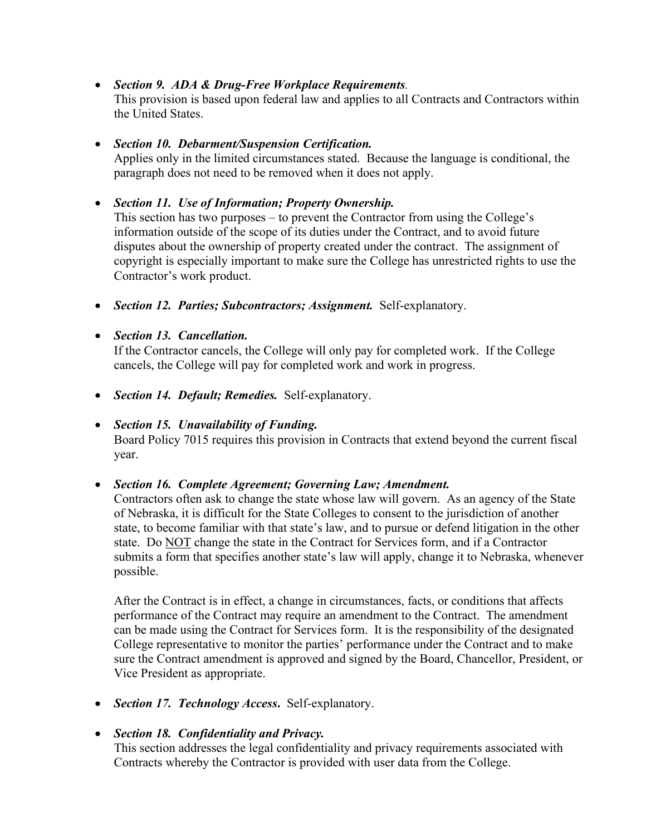• *Section 9. ADA & Drug-Free Workplace Requirements.*

This provision is based upon federal law and applies to all Contracts and Contractors within the United States.

# • *Section 10. Debarment/Suspension Certification.*

Applies only in the limited circumstances stated. Because the language is conditional, the paragraph does not need to be removed when it does not apply.

# • *Section 11. Use of Information; Property Ownership.*

This section has two purposes – to prevent the Contractor from using the College's information outside of the scope of its duties under the Contract, and to avoid future disputes about the ownership of property created under the contract. The assignment of copyright is especially important to make sure the College has unrestricted rights to use the Contractor's work product.

• *Section 12. Parties; Subcontractors; Assignment.* Self-explanatory.

# • *Section 13. Cancellation.*

If the Contractor cancels, the College will only pay for completed work. If the College cancels, the College will pay for completed work and work in progress.

• *Section 14. Default; Remedies.* Self-explanatory.

# • *Section 15. Unavailability of Funding.*

Board Policy 7015 requires this provision in Contracts that extend beyond the current fiscal year.

# • *Section 16. Complete Agreement; Governing Law; Amendment.*

Contractors often ask to change the state whose law will govern. As an agency of the State of Nebraska, it is difficult for the State Colleges to consent to the jurisdiction of another state, to become familiar with that state's law, and to pursue or defend litigation in the other state. Do NOT change the state in the Contract for Services form, and if a Contractor submits a form that specifies another state's law will apply, change it to Nebraska, whenever possible.

After the Contract is in effect, a change in circumstances, facts, or conditions that affects performance of the Contract may require an amendment to the Contract. The amendment can be made using the Contract for Services form. It is the responsibility of the designated College representative to monitor the parties' performance under the Contract and to make sure the Contract amendment is approved and signed by the Board, Chancellor, President, or Vice President as appropriate.

• *Section 17. Technology Access***.** Self-explanatory.

# • *Section 18. Confidentiality and Privacy.*

This section addresses the legal confidentiality and privacy requirements associated with Contracts whereby the Contractor is provided with user data from the College.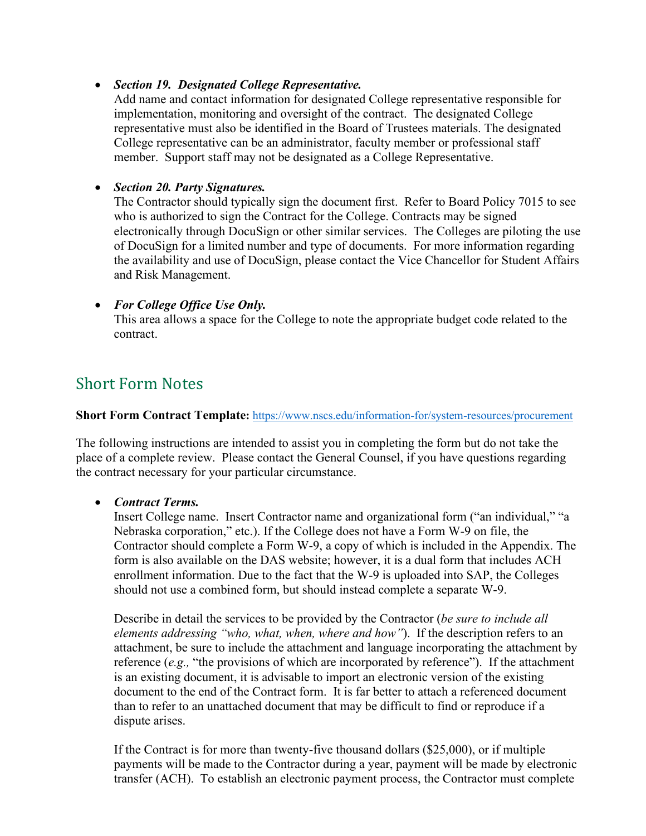## • *Section 19. Designated College Representative.*

Add name and contact information for designated College representative responsible for implementation, monitoring and oversight of the contract. The designated College representative must also be identified in the Board of Trustees materials. The designated College representative can be an administrator, faculty member or professional staff member. Support staff may not be designated as a College Representative.

# • *Section 20. Party Signatures.*

The Contractor should typically sign the document first. Refer to Board Policy 7015 to see who is authorized to sign the Contract for the College. Contracts may be signed electronically through DocuSign or other similar services. The Colleges are piloting the use of DocuSign for a limited number and type of documents. For more information regarding the availability and use of DocuSign, please contact the Vice Chancellor for Student Affairs and Risk Management.

# • *For College Office Use Only.*

This area allows a space for the College to note the appropriate budget code related to the contract.

# <span id="page-9-0"></span>Short Form Notes

### **Short Form Contract Template:** <https://www.nscs.edu/information-for/system-resources/procurement>

The following instructions are intended to assist you in completing the form but do not take the place of a complete review. Please contact the General Counsel, if you have questions regarding the contract necessary for your particular circumstance.

# • *Contract Terms.*

Insert College name. Insert Contractor name and organizational form ("an individual," "a Nebraska corporation," etc.). If the College does not have a Form W-9 on file, the Contractor should complete a Form W-9, a copy of which is included in the Appendix. The form is also available on the DAS website; however, it is a dual form that includes ACH enrollment information. Due to the fact that the W-9 is uploaded into SAP, the Colleges should not use a combined form, but should instead complete a separate W-9.

Describe in detail the services to be provided by the Contractor (*be sure to include all elements addressing "who, what, when, where and how"*). If the description refers to an attachment, be sure to include the attachment and language incorporating the attachment by reference (*e.g.,* "the provisions of which are incorporated by reference"). If the attachment is an existing document, it is advisable to import an electronic version of the existing document to the end of the Contract form. It is far better to attach a referenced document than to refer to an unattached document that may be difficult to find or reproduce if a dispute arises.

If the Contract is for more than twenty-five thousand dollars (\$25,000), or if multiple payments will be made to the Contractor during a year, payment will be made by electronic transfer (ACH). To establish an electronic payment process, the Contractor must complete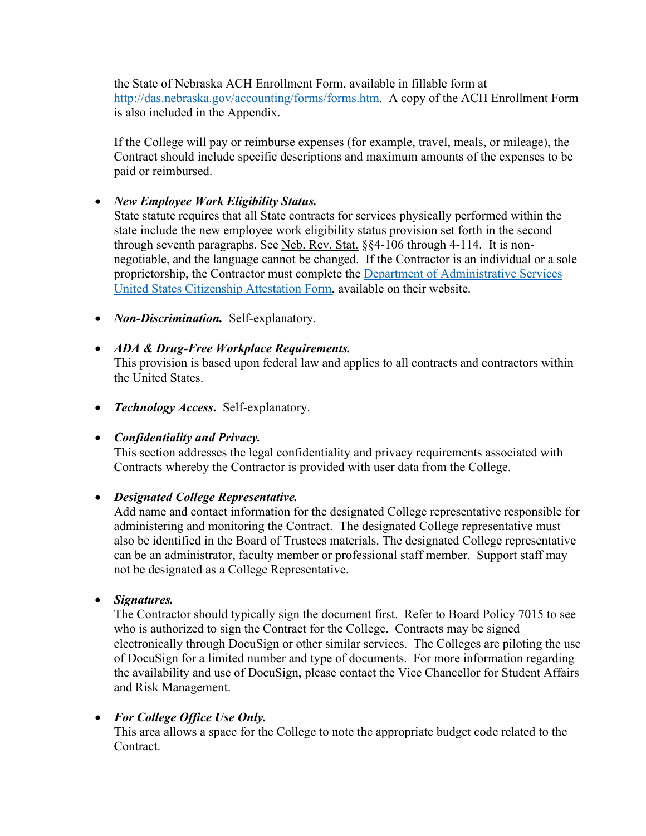the State of Nebraska ACH Enrollment Form, available in fillable form at [http://das.nebraska.gov/accounting/forms/forms.htm.](http://das.nebraska.gov/accounting/forms/forms.htm) A copy of the ACH Enrollment Form is also included in the Appendix.

If the College will pay or reimburse expenses (for example, travel, meals, or mileage), the Contract should include specific descriptions and maximum amounts of the expenses to be paid or reimbursed.

# • *New Employee Work Eligibility Status.*

State statute requires that all State contracts for services physically performed within the state include the new employee work eligibility status provision set forth in the second through seventh paragraphs. See Neb. Rev. Stat. §§4-106 through 4-114. It is nonnegotiable, and the language cannot be changed. If the Contractor is an individual or a sole proprietorship, the Contractor must complete the [Department of Administrative Services](https://das.nebraska.gov/materiel/docs/pdf/Individual%20or%20Sole%20Proprietor%20United%20States%20Attestation%20Form%20English%20and%20Spanish.pdf)  [United States Citizenship Attestation Form,](https://das.nebraska.gov/materiel/docs/pdf/Individual%20or%20Sole%20Proprietor%20United%20States%20Attestation%20Form%20English%20and%20Spanish.pdf) available on their website.

• *Non-Discrimination.* Self-explanatory.

# • *ADA & Drug-Free Workplace Requirements.*

This provision is based upon federal law and applies to all contracts and contractors within the United States.

• *Technology Access***.** Self-explanatory.

# • *Confidentiality and Privacy.*

This section addresses the legal confidentiality and privacy requirements associated with Contracts whereby the Contractor is provided with user data from the College.

# • *Designated College Representative.*

Add name and contact information for the designated College representative responsible for administering and monitoring the Contract. The designated College representative must also be identified in the Board of Trustees materials. The designated College representative can be an administrator, faculty member or professional staff member. Support staff may not be designated as a College Representative.

# • *Signatures.*

The Contractor should typically sign the document first. Refer to Board Policy 7015 to see who is authorized to sign the Contract for the College. Contracts may be signed electronically through DocuSign or other similar services. The Colleges are piloting the use of DocuSign for a limited number and type of documents. For more information regarding the availability and use of DocuSign, please contact the Vice Chancellor for Student Affairs and Risk Management.

# • *For College Office Use Only.*

This area allows a space for the College to note the appropriate budget code related to the Contract.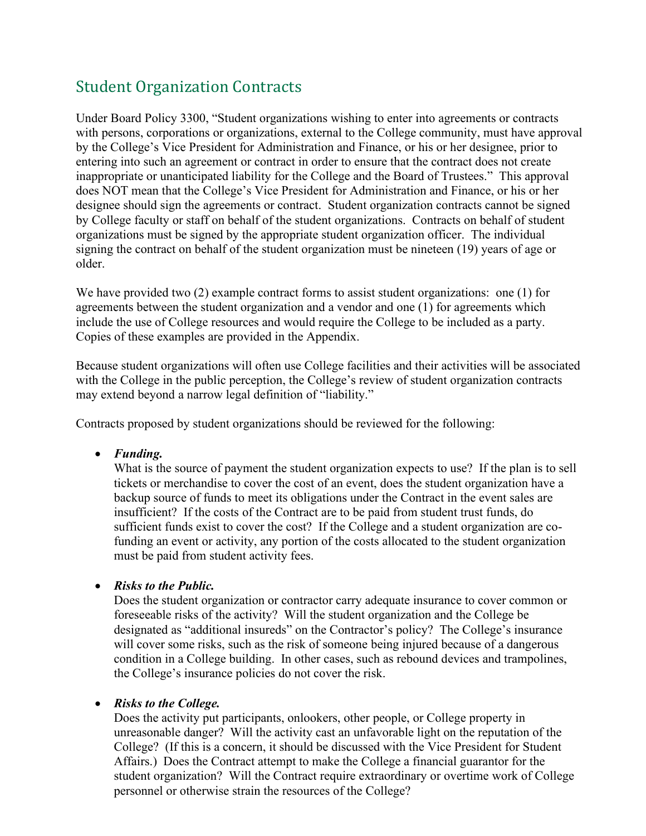# <span id="page-11-0"></span>Student Organization Contracts

Under Board Policy 3300, "Student organizations wishing to enter into agreements or contracts with persons, corporations or organizations, external to the College community, must have approval by the College's Vice President for Administration and Finance, or his or her designee, prior to entering into such an agreement or contract in order to ensure that the contract does not create inappropriate or unanticipated liability for the College and the Board of Trustees." This approval does NOT mean that the College's Vice President for Administration and Finance, or his or her designee should sign the agreements or contract. Student organization contracts cannot be signed by College faculty or staff on behalf of the student organizations. Contracts on behalf of student organizations must be signed by the appropriate student organization officer. The individual signing the contract on behalf of the student organization must be nineteen (19) years of age or older.

We have provided two (2) example contract forms to assist student organizations: one (1) for agreements between the student organization and a vendor and one (1) for agreements which include the use of College resources and would require the College to be included as a party. Copies of these examples are provided in the Appendix.

Because student organizations will often use College facilities and their activities will be associated with the College in the public perception, the College's review of student organization contracts may extend beyond a narrow legal definition of "liability."

Contracts proposed by student organizations should be reviewed for the following:

• *Funding.* 

What is the source of payment the student organization expects to use? If the plan is to sell tickets or merchandise to cover the cost of an event, does the student organization have a backup source of funds to meet its obligations under the Contract in the event sales are insufficient? If the costs of the Contract are to be paid from student trust funds, do sufficient funds exist to cover the cost? If the College and a student organization are cofunding an event or activity, any portion of the costs allocated to the student organization must be paid from student activity fees.

# • *Risks to the Public.*

Does the student organization or contractor carry adequate insurance to cover common or foreseeable risks of the activity? Will the student organization and the College be designated as "additional insureds" on the Contractor's policy? The College's insurance will cover some risks, such as the risk of someone being injured because of a dangerous condition in a College building. In other cases, such as rebound devices and trampolines, the College's insurance policies do not cover the risk.

#### • *Risks to the College.*

Does the activity put participants, onlookers, other people, or College property in unreasonable danger? Will the activity cast an unfavorable light on the reputation of the College? (If this is a concern, it should be discussed with the Vice President for Student Affairs.) Does the Contract attempt to make the College a financial guarantor for the student organization? Will the Contract require extraordinary or overtime work of College personnel or otherwise strain the resources of the College?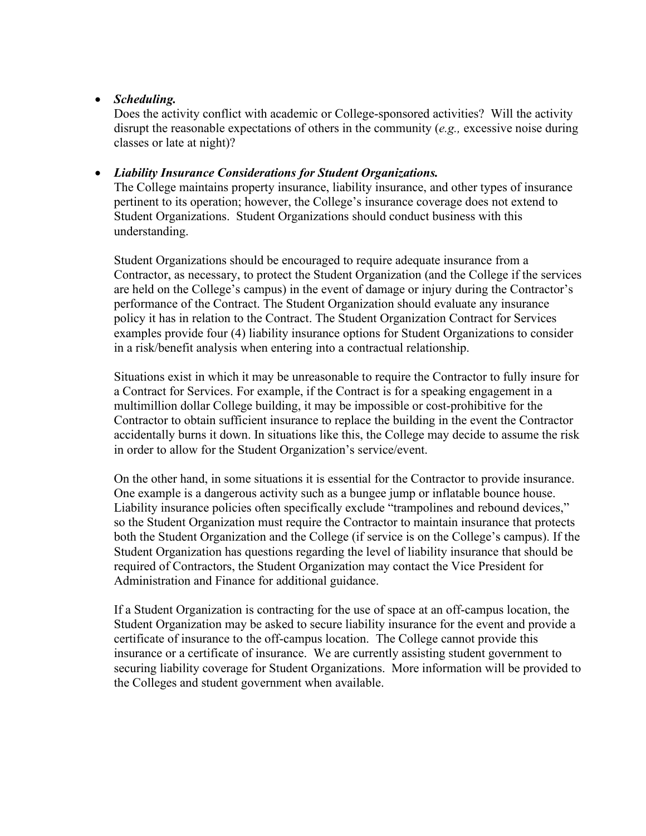### • *Scheduling.*

Does the activity conflict with academic or College-sponsored activities? Will the activity disrupt the reasonable expectations of others in the community (*e.g.,* excessive noise during classes or late at night)?

#### • *Liability Insurance Considerations for Student Organizations.*

The College maintains property insurance, liability insurance, and other types of insurance pertinent to its operation; however, the College's insurance coverage does not extend to Student Organizations. Student Organizations should conduct business with this understanding.

Student Organizations should be encouraged to require adequate insurance from a Contractor, as necessary, to protect the Student Organization (and the College if the services are held on the College's campus) in the event of damage or injury during the Contractor's performance of the Contract. The Student Organization should evaluate any insurance policy it has in relation to the Contract. The Student Organization Contract for Services examples provide four (4) liability insurance options for Student Organizations to consider in a risk/benefit analysis when entering into a contractual relationship.

Situations exist in which it may be unreasonable to require the Contractor to fully insure for a Contract for Services. For example, if the Contract is for a speaking engagement in a multimillion dollar College building, it may be impossible or cost-prohibitive for the Contractor to obtain sufficient insurance to replace the building in the event the Contractor accidentally burns it down. In situations like this, the College may decide to assume the risk in order to allow for the Student Organization's service/event.

On the other hand, in some situations it is essential for the Contractor to provide insurance. One example is a dangerous activity such as a bungee jump or inflatable bounce house. Liability insurance policies often specifically exclude "trampolines and rebound devices," so the Student Organization must require the Contractor to maintain insurance that protects both the Student Organization and the College (if service is on the College's campus). If the Student Organization has questions regarding the level of liability insurance that should be required of Contractors, the Student Organization may contact the Vice President for Administration and Finance for additional guidance.

If a Student Organization is contracting for the use of space at an off-campus location, the Student Organization may be asked to secure liability insurance for the event and provide a certificate of insurance to the off-campus location. The College cannot provide this insurance or a certificate of insurance. We are currently assisting student government to securing liability coverage for Student Organizations. More information will be provided to the Colleges and student government when available.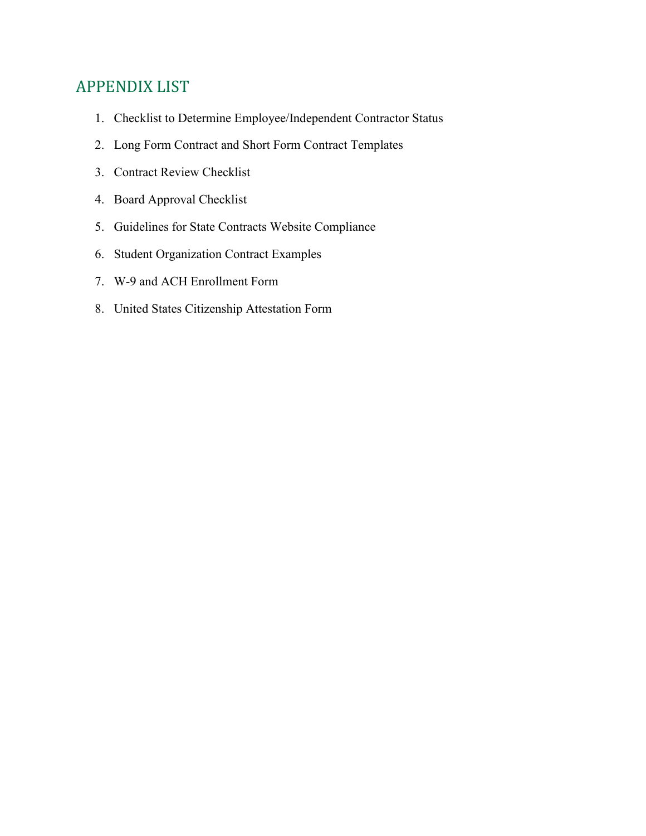# <span id="page-13-0"></span>APPENDIX LIST

- 1. Checklist to Determine Employee/Independent Contractor Status
- 2. Long Form Contract and Short Form Contract Templates
- 3. Contract Review Checklist
- 4. Board Approval Checklist
- 5. Guidelines for State Contracts Website Compliance
- 6. Student Organization Contract Examples
- 7. W-9 and ACH Enrollment Form
- 8. United States Citizenship Attestation Form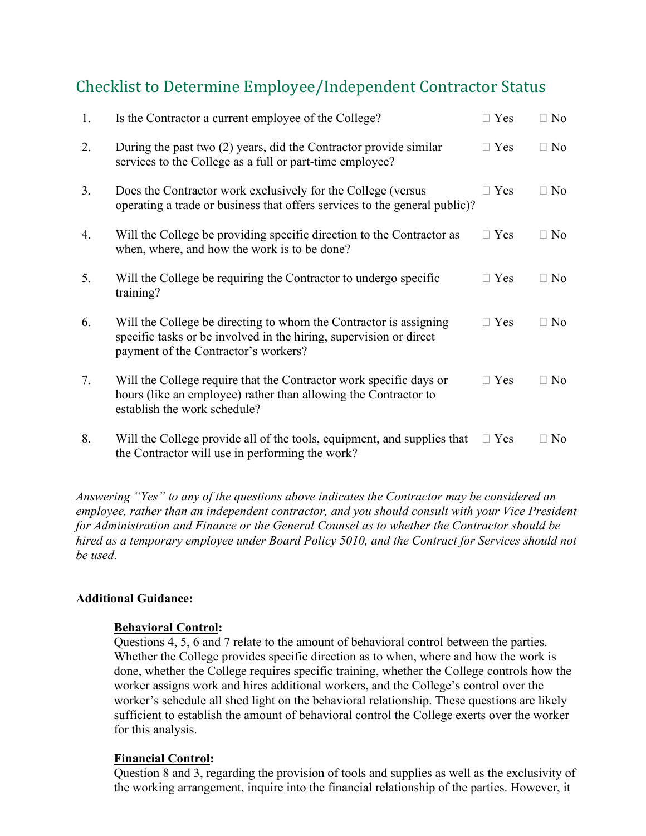# <span id="page-14-0"></span>Checklist to Determine Employee/Independent Contractor Status

| 1. | Is the Contractor a current employee of the College?                                                                                                                            | $\Box$ Yes | $\Box$ No |
|----|---------------------------------------------------------------------------------------------------------------------------------------------------------------------------------|------------|-----------|
| 2. | During the past two (2) years, did the Contractor provide similar<br>services to the College as a full or part-time employee?                                                   | $\Box$ Yes | $\Box$ No |
| 3. | Does the Contractor work exclusively for the College (versus<br>operating a trade or business that offers services to the general public)?                                      | $\Box$ Yes | $\Box$ No |
| 4. | Will the College be providing specific direction to the Contractor as<br>when, where, and how the work is to be done?                                                           | $\Box$ Yes | $\Box$ No |
| 5. | Will the College be requiring the Contractor to undergo specific<br>training?                                                                                                   | $\Box$ Yes | $\Box$ No |
| 6. | Will the College be directing to whom the Contractor is assigning<br>specific tasks or be involved in the hiring, supervision or direct<br>payment of the Contractor's workers? | $\Box$ Yes | $\Box$ No |
| 7. | Will the College require that the Contractor work specific days or<br>hours (like an employee) rather than allowing the Contractor to<br>establish the work schedule?           | $\Box$ Yes | $\Box$ No |
| 8. | Will the College provide all of the tools, equipment, and supplies that<br>the Contractor will use in performing the work?                                                      | $\Box$ Yes | $\Box$ No |

*Answering "Yes" to any of the questions above indicates the Contractor may be considered an employee, rather than an independent contractor, and you should consult with your Vice President for Administration and Finance or the General Counsel as to whether the Contractor should be hired as a temporary employee under Board Policy 5010, and the Contract for Services should not be used.*

# **Additional Guidance:**

# **Behavioral Control:**

Questions 4, 5, 6 and 7 relate to the amount of behavioral control between the parties. Whether the College provides specific direction as to when, where and how the work is done, whether the College requires specific training, whether the College controls how the worker assigns work and hires additional workers, and the College's control over the worker's schedule all shed light on the behavioral relationship. These questions are likely sufficient to establish the amount of behavioral control the College exerts over the worker for this analysis.

# **Financial Control:**

Question 8 and 3, regarding the provision of tools and supplies as well as the exclusivity of the working arrangement, inquire into the financial relationship of the parties. However, it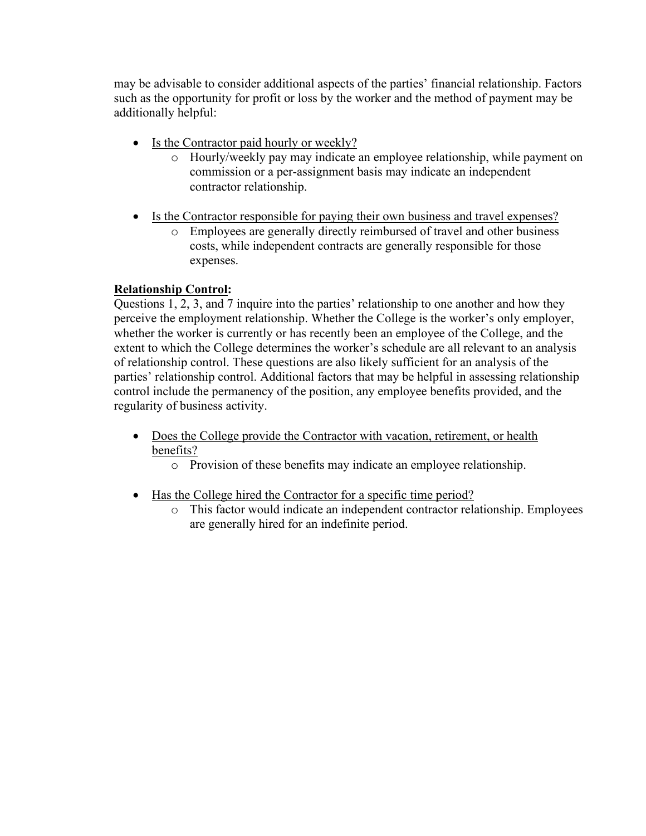may be advisable to consider additional aspects of the parties' financial relationship. Factors such as the opportunity for profit or loss by the worker and the method of payment may be additionally helpful:

- Is the Contractor paid hourly or weekly?
	- o Hourly/weekly pay may indicate an employee relationship, while payment on commission or a per-assignment basis may indicate an independent contractor relationship.
- Is the Contractor responsible for paying their own business and travel expenses?
	- o Employees are generally directly reimbursed of travel and other business costs, while independent contracts are generally responsible for those expenses.

# **Relationship Control:**

Questions 1, 2, 3, and 7 inquire into the parties' relationship to one another and how they perceive the employment relationship. Whether the College is the worker's only employer, whether the worker is currently or has recently been an employee of the College, and the extent to which the College determines the worker's schedule are all relevant to an analysis of relationship control. These questions are also likely sufficient for an analysis of the parties' relationship control. Additional factors that may be helpful in assessing relationship control include the permanency of the position, any employee benefits provided, and the regularity of business activity.

- Does the College provide the Contractor with vacation, retirement, or health benefits?
	- o Provision of these benefits may indicate an employee relationship.
- Has the College hired the Contractor for a specific time period?
	- o This factor would indicate an independent contractor relationship. Employees are generally hired for an indefinite period.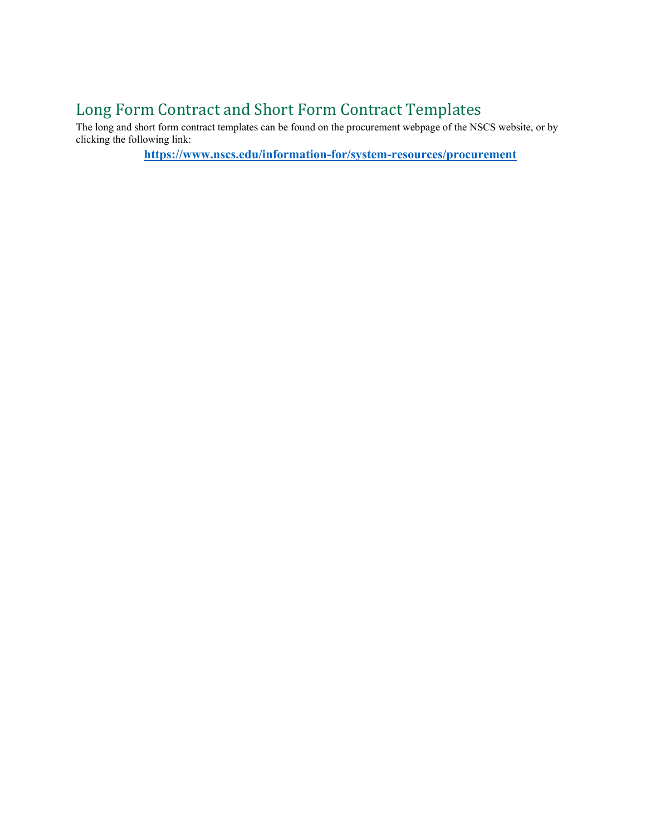# <span id="page-16-0"></span>Long Form Contract and Short Form Contract Templates

The long and short form contract templates can be found on the procurement webpage of the NSCS website, or by clicking the following link:

**<https://www.nscs.edu/information-for/system-resources/procurement>**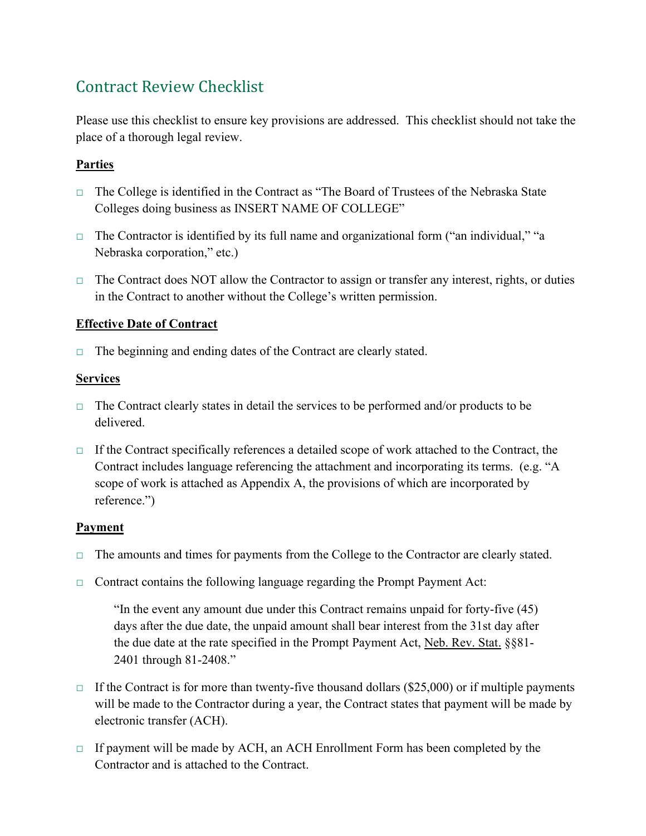# <span id="page-17-0"></span>Contract Review Checklist

Please use this checklist to ensure key provisions are addressed. This checklist should not take the place of a thorough legal review.

# **Parties**

- □ The College is identified in the Contract as "The Board of Trustees of the Nebraska State Colleges doing business as INSERT NAME OF COLLEGE"
- □ The Contractor is identified by its full name and organizational form ("an individual," "a Nebraska corporation," etc.)
- □ The Contract does NOT allow the Contractor to assign or transfer any interest, rights, or duties in the Contract to another without the College's written permission.

# **Effective Date of Contract**

 $\Box$  The beginning and ending dates of the Contract are clearly stated.

# **Services**

- $\Box$  The Contract clearly states in detail the services to be performed and/or products to be delivered.
- $\Box$  If the Contract specifically references a detailed scope of work attached to the Contract, the Contract includes language referencing the attachment and incorporating its terms. (e.g. "A scope of work is attached as Appendix A, the provisions of which are incorporated by reference.")

# **Payment**

- □ The amounts and times for payments from the College to the Contractor are clearly stated.
- $\Box$  Contract contains the following language regarding the Prompt Payment Act:

"In the event any amount due under this Contract remains unpaid for forty-five (45) days after the due date, the unpaid amount shall bear interest from the 31st day after the due date at the rate specified in the Prompt Payment Act, Neb. Rev. Stat. §§81- 2401 through 81-2408."

- $\Box$  If the Contract is for more than twenty-five thousand dollars (\$25,000) or if multiple payments will be made to the Contractor during a year, the Contract states that payment will be made by electronic transfer (ACH).
- $\Box$  If payment will be made by ACH, an ACH Enrollment Form has been completed by the Contractor and is attached to the Contract.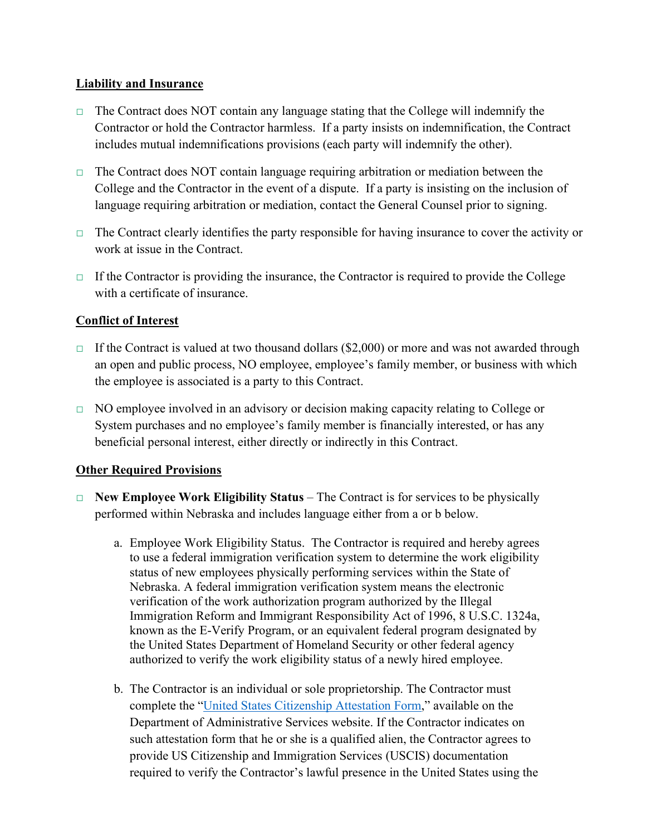# **Liability and Insurance**

- $\Box$  The Contract does NOT contain any language stating that the College will indemnify the Contractor or hold the Contractor harmless. If a party insists on indemnification, the Contract includes mutual indemnifications provisions (each party will indemnify the other).
- $\Box$  The Contract does NOT contain language requiring arbitration or mediation between the College and the Contractor in the event of a dispute. If a party is insisting on the inclusion of language requiring arbitration or mediation, contact the General Counsel prior to signing.
- $\Box$  The Contract clearly identifies the party responsible for having insurance to cover the activity or work at issue in the Contract.
- $\Box$  If the Contractor is providing the insurance, the Contractor is required to provide the College with a certificate of insurance.

# **Conflict of Interest**

- $\Box$  If the Contract is valued at two thousand dollars (\$2,000) or more and was not awarded through an open and public process, NO employee, employee's family member, or business with which the employee is associated is a party to this Contract.
- □ NO employee involved in an advisory or decision making capacity relating to College or System purchases and no employee's family member is financially interested, or has any beneficial personal interest, either directly or indirectly in this Contract.

# **Other Required Provisions**

- □ **New Employee Work Eligibility Status** The Contract is for services to be physically performed within Nebraska and includes language either from a or b below.
	- a. Employee Work Eligibility Status. The Contractor is required and hereby agrees to use a federal immigration verification system to determine the work eligibility status of new employees physically performing services within the State of Nebraska. A federal immigration verification system means the electronic verification of the work authorization program authorized by the Illegal Immigration Reform and Immigrant Responsibility Act of 1996, 8 U.S.C. 1324a, known as the E-Verify Program, or an equivalent federal program designated by the United States Department of Homeland Security or other federal agency authorized to verify the work eligibility status of a newly hired employee.
	- b. The Contractor is an individual or sole proprietorship. The Contractor must complete the ["United States Citizenship Attestation Form,](https://das.nebraska.gov/materiel/docs/pdf/Individual%20or%20Sole%20Proprietor%20United%20States%20Attestation%20Form%20English%20and%20Spanish.pdf)" available on the Department of Administrative Services website. If the Contractor indicates on such attestation form that he or she is a qualified alien, the Contractor agrees to provide US Citizenship and Immigration Services (USCIS) documentation required to verify the Contractor's lawful presence in the United States using the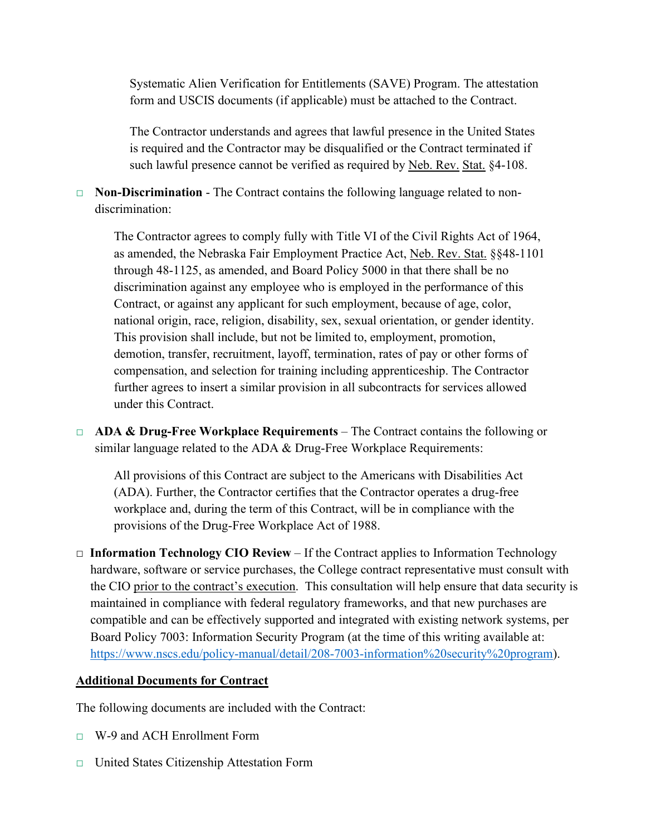Systematic Alien Verification for Entitlements (SAVE) Program. The attestation form and USCIS documents (if applicable) must be attached to the Contract.

The Contractor understands and agrees that lawful presence in the United States is required and the Contractor may be disqualified or the Contract terminated if such lawful presence cannot be verified as required by Neb. Rev. Stat. §4-108.

□ **Non-Discrimination** - The Contract contains the following language related to nondiscrimination:

The Contractor agrees to comply fully with Title VI of the Civil Rights Act of 1964, as amended, the Nebraska Fair Employment Practice Act, Neb. Rev. Stat. §§48-1101 through 48-1125, as amended, and Board Policy 5000 in that there shall be no discrimination against any employee who is employed in the performance of this Contract, or against any applicant for such employment, because of age, color, national origin, race, religion, disability, sex, sexual orientation, or gender identity. This provision shall include, but not be limited to, employment, promotion, demotion, transfer, recruitment, layoff, termination, rates of pay or other forms of compensation, and selection for training including apprenticeship. The Contractor further agrees to insert a similar provision in all subcontracts for services allowed under this Contract.

□ **ADA & Drug-Free Workplace Requirements** – The Contract contains the following or similar language related to the ADA & Drug-Free Workplace Requirements:

All provisions of this Contract are subject to the Americans with Disabilities Act (ADA). Further, the Contractor certifies that the Contractor operates a drug-free workplace and, during the term of this Contract, will be in compliance with the provisions of the Drug-Free Workplace Act of 1988.

□ **Information Technology CIO Review** – If the Contract applies to Information Technology hardware, software or service purchases, the College contract representative must consult with the CIO prior to the contract's execution. This consultation will help ensure that data security is maintained in compliance with federal regulatory frameworks, and that new purchases are compatible and can be effectively supported and integrated with existing network systems, per Board Policy 7003: Information Security Program (at the time of this writing available at: [https://www.nscs.edu/policy-manual/detail/208-7003-information%20security%20program\)](https://www.nscs.edu/policy-manual/detail/208-7003-information%20security%20program).

# **Additional Documents for Contract**

The following documents are included with the Contract:

- □ W-9 and ACH Enrollment Form
- □ United States Citizenship Attestation Form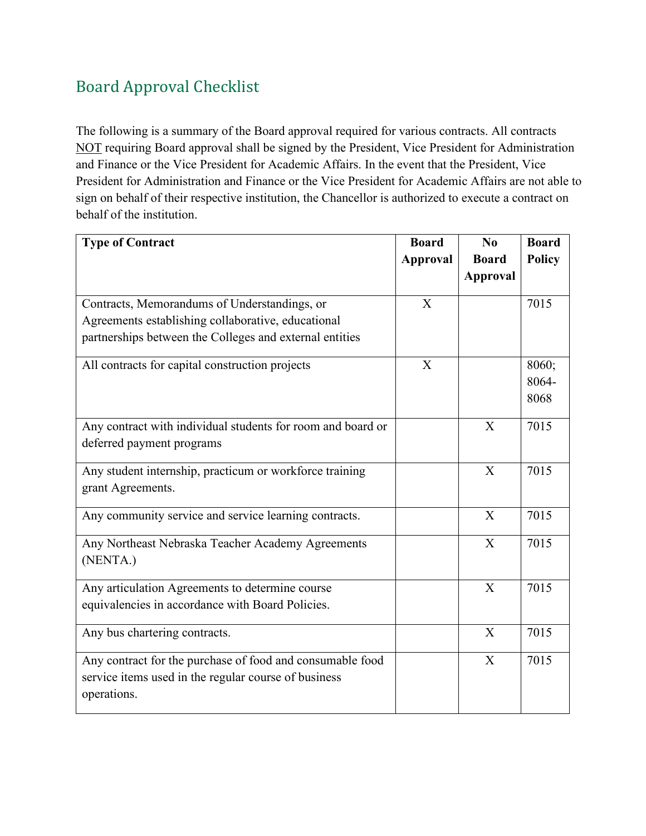# <span id="page-20-0"></span>Board Approval Checklist

The following is a summary of the Board approval required for various contracts. All contracts NOT requiring Board approval shall be signed by the President, Vice President for Administration and Finance or the Vice President for Academic Affairs. In the event that the President, Vice President for Administration and Finance or the Vice President for Academic Affairs are not able to sign on behalf of their respective institution, the Chancellor is authorized to execute a contract on behalf of the institution.

| <b>Type of Contract</b>                                     | <b>Board</b>    | No           | <b>Board</b>  |
|-------------------------------------------------------------|-----------------|--------------|---------------|
|                                                             | <b>Approval</b> | <b>Board</b> | <b>Policy</b> |
|                                                             |                 | Approval     |               |
|                                                             |                 |              |               |
| Contracts, Memorandums of Understandings, or                | $\mathbf{X}$    |              | 7015          |
| Agreements establishing collaborative, educational          |                 |              |               |
| partnerships between the Colleges and external entities     |                 |              |               |
| All contracts for capital construction projects             | X               |              | 8060;         |
|                                                             |                 |              | 8064-         |
|                                                             |                 |              | 8068          |
| Any contract with individual students for room and board or |                 | X            | 7015          |
| deferred payment programs                                   |                 |              |               |
| Any student internship, practicum or workforce training     |                 | X            | 7015          |
| grant Agreements.                                           |                 |              |               |
| Any community service and service learning contracts.       |                 | X            | 7015          |
| Any Northeast Nebraska Teacher Academy Agreements           |                 | $\mathbf{X}$ | 7015          |
| (NENTA.)                                                    |                 |              |               |
| Any articulation Agreements to determine course             |                 | X            | 7015          |
| equivalencies in accordance with Board Policies.            |                 |              |               |
| Any bus chartering contracts.                               |                 | X            | 7015          |
| Any contract for the purchase of food and consumable food   |                 | X            | 7015          |
| service items used in the regular course of business        |                 |              |               |
| operations.                                                 |                 |              |               |
|                                                             |                 |              |               |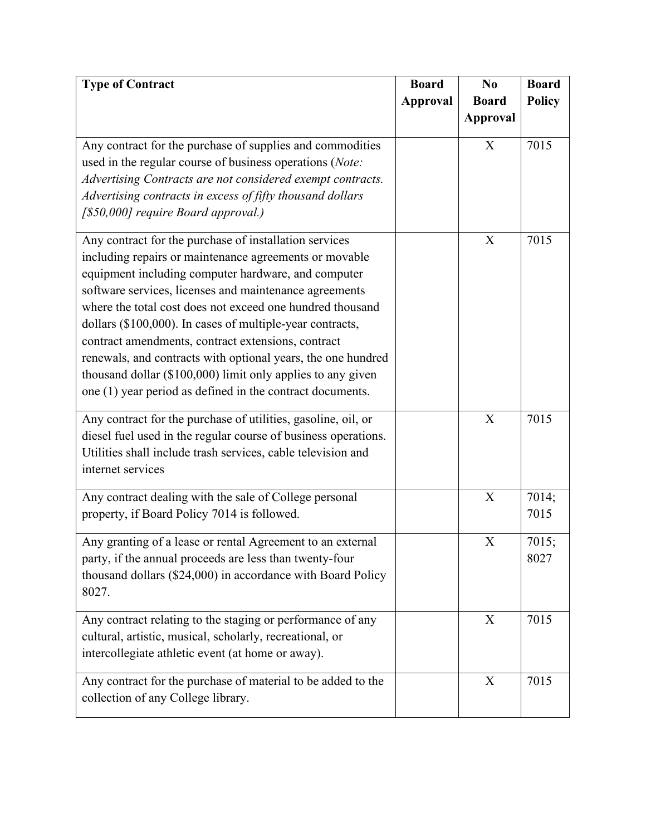| <b>Type of Contract</b>                                        | <b>Board</b>    | N <sub>0</sub>            | <b>Board</b>  |
|----------------------------------------------------------------|-----------------|---------------------------|---------------|
|                                                                | <b>Approval</b> | <b>Board</b>              | <b>Policy</b> |
|                                                                |                 | <b>Approval</b>           |               |
|                                                                |                 |                           |               |
| Any contract for the purchase of supplies and commodities      |                 | $\mathbf X$               | 7015          |
| used in the regular course of business operations (Note:       |                 |                           |               |
| Advertising Contracts are not considered exempt contracts.     |                 |                           |               |
| Advertising contracts in excess of fifty thousand dollars      |                 |                           |               |
| [\$50,000] require Board approval.)                            |                 |                           |               |
| Any contract for the purchase of installation services         |                 | X                         | 7015          |
| including repairs or maintenance agreements or movable         |                 |                           |               |
| equipment including computer hardware, and computer            |                 |                           |               |
| software services, licenses and maintenance agreements         |                 |                           |               |
| where the total cost does not exceed one hundred thousand      |                 |                           |               |
| dollars (\$100,000). In cases of multiple-year contracts,      |                 |                           |               |
| contract amendments, contract extensions, contract             |                 |                           |               |
| renewals, and contracts with optional years, the one hundred   |                 |                           |               |
| thousand dollar (\$100,000) limit only applies to any given    |                 |                           |               |
| one (1) year period as defined in the contract documents.      |                 |                           |               |
|                                                                |                 |                           |               |
| Any contract for the purchase of utilities, gasoline, oil, or  |                 | $\boldsymbol{\mathrm{X}}$ | 7015          |
| diesel fuel used in the regular course of business operations. |                 |                           |               |
| Utilities shall include trash services, cable television and   |                 |                           |               |
| internet services                                              |                 |                           |               |
| Any contract dealing with the sale of College personal         |                 | $\boldsymbol{X}$          | 7014;         |
| property, if Board Policy 7014 is followed.                    |                 |                           | 7015          |
|                                                                |                 |                           |               |
| Any granting of a lease or rental Agreement to an external     |                 | X                         | 7015;         |
| party, if the annual proceeds are less than twenty-four        |                 |                           | 8027          |
| thousand dollars (\$24,000) in accordance with Board Policy    |                 |                           |               |
| 8027.                                                          |                 |                           |               |
| Any contract relating to the staging or performance of any     |                 | X                         | 7015          |
| cultural, artistic, musical, scholarly, recreational, or       |                 |                           |               |
| intercollegiate athletic event (at home or away).              |                 |                           |               |
| Any contract for the purchase of material to be added to the   |                 | X                         | 7015          |
| collection of any College library.                             |                 |                           |               |
|                                                                |                 |                           |               |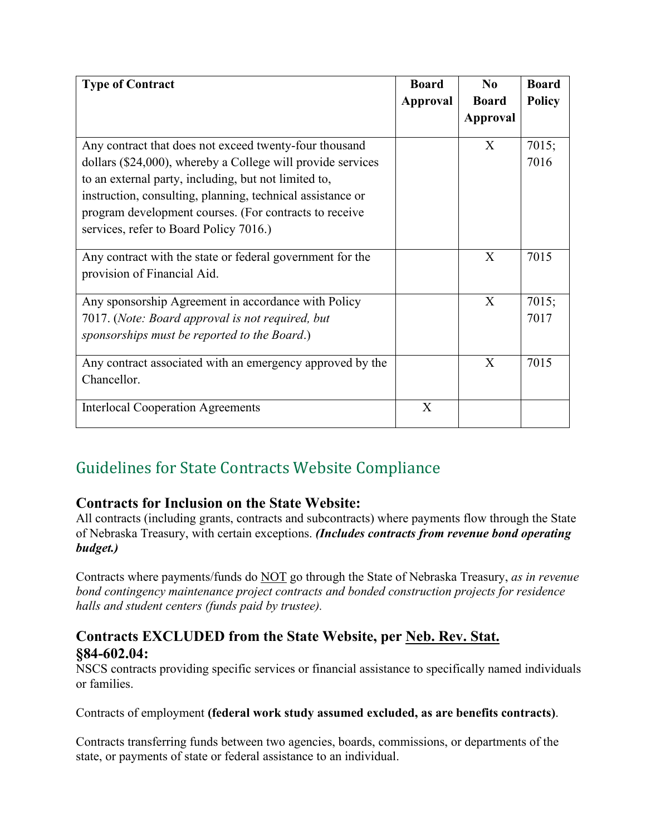| <b>Type of Contract</b>                                                                                                                                                                                                                                                                                                                         | <b>Board</b> | N <sub>0</sub>  | <b>Board</b>  |
|-------------------------------------------------------------------------------------------------------------------------------------------------------------------------------------------------------------------------------------------------------------------------------------------------------------------------------------------------|--------------|-----------------|---------------|
|                                                                                                                                                                                                                                                                                                                                                 | Approval     | <b>Board</b>    | <b>Policy</b> |
|                                                                                                                                                                                                                                                                                                                                                 |              | <b>Approval</b> |               |
| Any contract that does not exceed twenty-four thousand<br>dollars (\$24,000), whereby a College will provide services<br>to an external party, including, but not limited to,<br>instruction, consulting, planning, technical assistance or<br>program development courses. (For contracts to receive<br>services, refer to Board Policy 7016.) |              | X               | 7015;<br>7016 |
| Any contract with the state or federal government for the<br>provision of Financial Aid.                                                                                                                                                                                                                                                        |              | X               | 7015          |
| Any sponsorship Agreement in accordance with Policy<br>7017. (Note: Board approval is not required, but<br>sponsorships must be reported to the Board.)                                                                                                                                                                                         |              | X               | 7015;<br>7017 |
| Any contract associated with an emergency approved by the<br>Chancellor.                                                                                                                                                                                                                                                                        |              | X               | 7015          |
| <b>Interlocal Cooperation Agreements</b>                                                                                                                                                                                                                                                                                                        | X            |                 |               |

# <span id="page-22-0"></span>Guidelines for State Contracts Website Compliance

# **Contracts for Inclusion on the State Website:**

All contracts (including grants, contracts and subcontracts) where payments flow through the State of Nebraska Treasury, with certain exceptions. *(Includes contracts from revenue bond operating budget.)*

Contracts where payments/funds do NOT go through the State of Nebraska Treasury, *as in revenue bond contingency maintenance project contracts and bonded construction projects for residence halls and student centers (funds paid by trustee).*

# **Contracts EXCLUDED from the State Website, per Neb. Rev. Stat. §84-602.04:**

NSCS contracts providing specific services or financial assistance to specifically named individuals or families.

Contracts of employment **(federal work study assumed excluded, as are benefits contracts)**.

Contracts transferring funds between two agencies, boards, commissions, or departments of the state, or payments of state or federal assistance to an individual.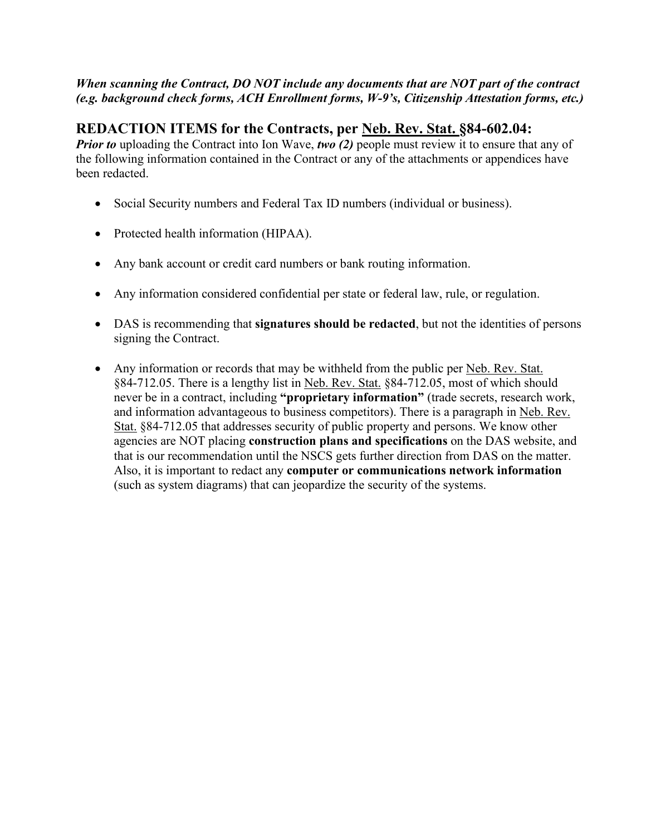### *When scanning the Contract, DO NOT include any documents that are NOT part of the contract (e.g. background check forms, ACH Enrollment forms, W-9's, Citizenship Attestation forms, etc.)*

# **REDACTION ITEMS for the Contracts, per Neb. Rev. Stat. §84-602.04:**

*Prior to* uploading the Contract into Ion Wave, *two* (2) people must review it to ensure that any of the following information contained in the Contract or any of the attachments or appendices have been redacted.

- Social Security numbers and Federal Tax ID numbers (individual or business).
- Protected health information (HIPAA).
- Any bank account or credit card numbers or bank routing information.
- Any information considered confidential per state or federal law, rule, or regulation.
- DAS is recommending that **signatures should be redacted**, but not the identities of persons signing the Contract.
- Any information or records that may be withheld from the public per Neb. Rev. Stat. §84-712.05. There is a lengthy list in Neb. Rev. Stat. §84-712.05, most of which should never be in a contract, including **"proprietary information"** (trade secrets, research work, and information advantageous to business competitors). There is a paragraph in Neb. Rev. Stat. §84-712.05 that addresses security of public property and persons. We know other agencies are NOT placing **construction plans and specifications** on the DAS website, and that is our recommendation until the NSCS gets further direction from DAS on the matter. Also, it is important to redact any **computer or communications network information** (such as system diagrams) that can jeopardize the security of the systems.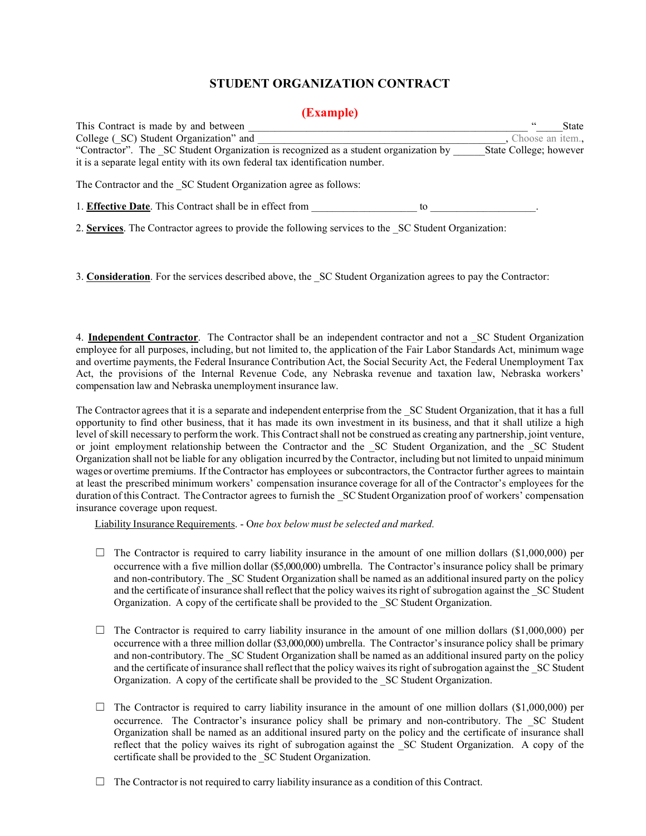## **STUDENT ORGANIZATION CONTRACT**

### **(Example)**

<span id="page-24-0"></span>

| This Contract is made by and between                                                                 |    | State                  |
|------------------------------------------------------------------------------------------------------|----|------------------------|
| College (SC) Student Organization" and                                                               |    | Choose an item.,       |
| "Contractor". The SC Student Organization is recognized as a student organization by                 |    | State College; however |
| it is a separate legal entity with its own federal tax identification number.                        |    |                        |
| The Contractor and the SC Student Organization agree as follows:                                     |    |                        |
| 1. Effective Date. This Contract shall be in effect from                                             | to |                        |
| 2. Services. The Contractor agrees to provide the following services to the SC Student Organization: |    |                        |

3. **Consideration**. For the services described above, the SC Student Organization agrees to pay the Contractor:

4. **Independent Contractor**. The Contractor shall be an independent contractor and not a \_SC Student Organization employee for all purposes, including, but not limited to, the application of the Fair Labor Standards Act, minimum wage and overtime payments, the Federal Insurance Contribution Act, the Social Security Act, the Federal Unemployment Tax Act, the provisions of the Internal Revenue Code, any Nebraska revenue and taxation law, Nebraska workers' compensation law and Nebraska unemployment insurance law.

The Contractor agrees that it is a separate and independent enterprise from the SC Student Organization, that it has a full opportunity to find other business, that it has made its own investment in its business, and that it shall utilize a high level of skill necessary to perform the work. This Contract shall not be construed as creating any partnership, joint venture, or joint employment relationship between the Contractor and the \_SC Student Organization, and the \_SC Student Organization shall not be liable for any obligation incurred by the Contractor, including but not limited to unpaid minimum wages or overtime premiums. If the Contractor has employees or subcontractors, the Contractor further agrees to maintain at least the prescribed minimum workers' compensation insurance coverage for all of the Contractor's employees for the duration of this Contract. The Contractor agrees to furnish the SC Student Organization proof of workers' compensation insurance coverage upon request.

Liability Insurance Requirements. - O*ne box below must be selected and marked.*

- $\Box$  The Contractor is required to carry liability insurance in the amount of one million dollars (\$1,000,000) per occurrence with a five million dollar (\$5,000,000) umbrella. The Contractor'sinsurance policy shall be primary and non-contributory. The \_SC Student Organization shall be named as an additional insured party on the policy and the certificate of insurance shall reflect that the policy waives its right of subrogation against the \_SC Student Organization. A copy of the certificate shall be provided to the \_SC Student Organization.
- $\Box$  The Contractor is required to carry liability insurance in the amount of one million dollars (\$1,000,000) per occurrence with a three million dollar (\$3,000,000) umbrella. The Contractor'sinsurance policy shall be primary and non-contributory. The \_SC Student Organization shall be named as an additional insured party on the policy and the certificate of insurance shall reflect that the policy waives its right of subrogation against the SC Student Organization. A copy of the certificate shall be provided to the \_SC Student Organization.
- $\Box$  The Contractor is required to carry liability insurance in the amount of one million dollars (\$1,000,000) per occurrence. The Contractor's insurance policy shall be primary and non-contributory. The \_SC Student Organization shall be named as an additional insured party on the policy and the certificate of insurance shall reflect that the policy waives its right of subrogation against the \_SC Student Organization. A copy of the certificate shall be provided to the \_SC Student Organization.
- $\Box$  The Contractor is not required to carry liability insurance as a condition of this Contract.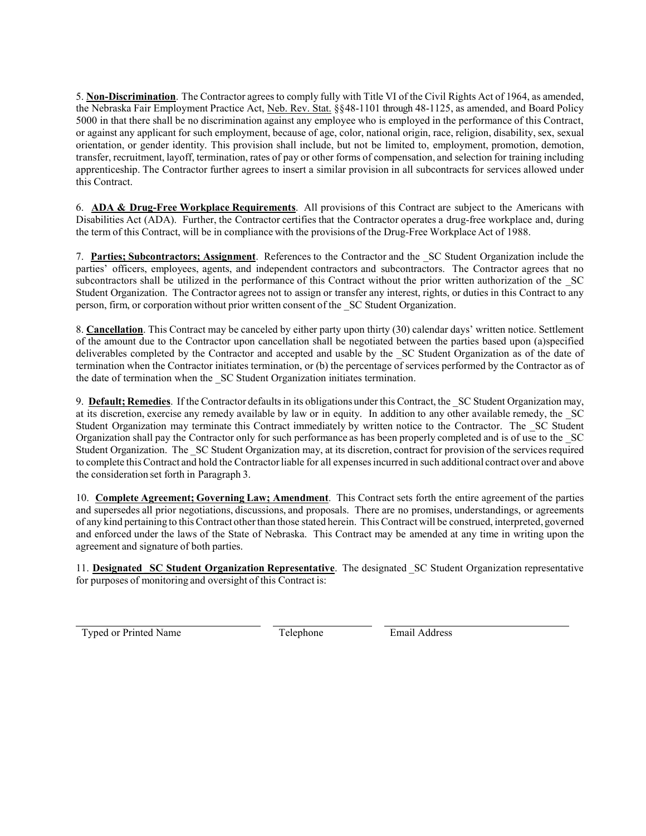5. **Non-Discrimination**. The Contractor agreesto comply fully with Title VI of the Civil Rights Act of 1964, as amended, the Nebraska Fair Employment Practice Act, Neb. Rev. Stat. §§48-1101 through 48-1125, as amended, and Board Policy 5000 in that there shall be no discrimination against any employee who is employed in the performance of this Contract, or against any applicant for such employment, because of age, color, national origin, race, religion, disability, sex, sexual orientation, or gender identity. This provision shall include, but not be limited to, employment, promotion, demotion, transfer, recruitment, layoff, termination, rates of pay or other forms of compensation, and selection for training including apprenticeship. The Contractor further agrees to insert a similar provision in all subcontracts for services allowed under this Contract.

6. **ADA & Drug-Free Workplace Requirements**. All provisions of this Contract are subject to the Americans with Disabilities Act (ADA). Further, the Contractor certifies that the Contractor operates a drug-free workplace and, during the term of this Contract, will be in compliance with the provisions of the Drug-Free Workplace Act of 1988.

7. **Parties; Subcontractors; Assignment**. References to the Contractor and the \_SC Student Organization include the parties' officers, employees, agents, and independent contractors and subcontractors. The Contractor agrees that no subcontractors shall be utilized in the performance of this Contract without the prior written authorization of the SC Student Organization. The Contractor agrees not to assign or transfer any interest, rights, or duties in this Contract to any person, firm, or corporation without prior written consent of the \_SC Student Organization.

8. **Cancellation**. This Contract may be canceled by either party upon thirty (30) calendar days' written notice. Settlement of the amount due to the Contractor upon cancellation shall be negotiated between the parties based upon (a)specified deliverables completed by the Contractor and accepted and usable by the \_SC Student Organization as of the date of termination when the Contractor initiates termination, or (b) the percentage of services performed by the Contractor as of the date of termination when the \_SC Student Organization initiates termination.

9. **Default; Remedies**. If the Contractor defaultsin its obligations under this Contract, the \_SC Student Organization may, at its discretion, exercise any remedy available by law or in equity. In addition to any other available remedy, the \_SC Student Organization may terminate this Contract immediately by written notice to the Contractor. The \_SC Student Organization shall pay the Contractor only for such performance as has been properly completed and is of use to the \_SC Student Organization. The SC Student Organization may, at its discretion, contract for provision of the services required to complete this Contract and hold the Contractorliable for all expensesincurred in such additional contract over and above the consideration set forth in Paragraph 3.

10. **Complete Agreement; Governing Law; Amendment**. This Contract sets forth the entire agreement of the parties and supersedes all prior negotiations, discussions, and proposals. There are no promises, understandings, or agreements of any kind pertaining to this Contract other than those stated herein. This Contract will be construed, interpreted, governed and enforced under the laws of the State of Nebraska. This Contract may be amended at any time in writing upon the agreement and signature of both parties.

11. **Designated \_SC Student Organization Representative**. The designated \_SC Student Organization representative for purposes of monitoring and oversight of this Contract is:

Typed or Printed Name Telephone Felephone Email Address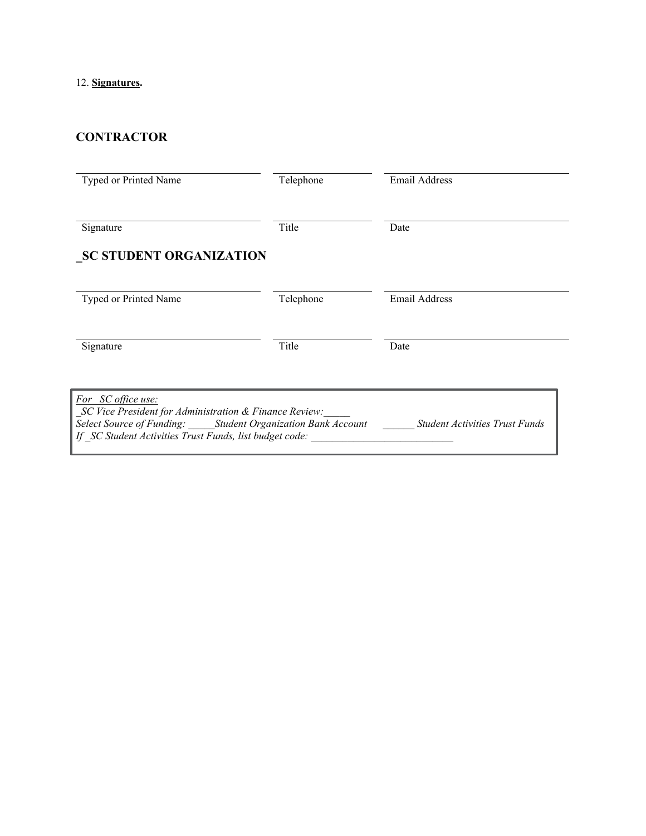### 12. **Signatures.**

# **CONTRACTOR**

| Typed or Printed Name                                                                                                                                                                                  | Telephone | <b>Email Address</b>                  |
|--------------------------------------------------------------------------------------------------------------------------------------------------------------------------------------------------------|-----------|---------------------------------------|
| Signature                                                                                                                                                                                              | Title     | Date                                  |
| <b>SC STUDENT ORGANIZATION</b>                                                                                                                                                                         |           |                                       |
| Typed or Printed Name                                                                                                                                                                                  | Telephone | Email Address                         |
| Signature                                                                                                                                                                                              | Title     | Date                                  |
| For SC office use:<br>SC Vice President for Administration & Finance Review:<br>Select Source of Funding: Student Organization Bank Account<br>If SC Student Activities Trust Funds, list budget code: |           | <b>Student Activities Trust Funds</b> |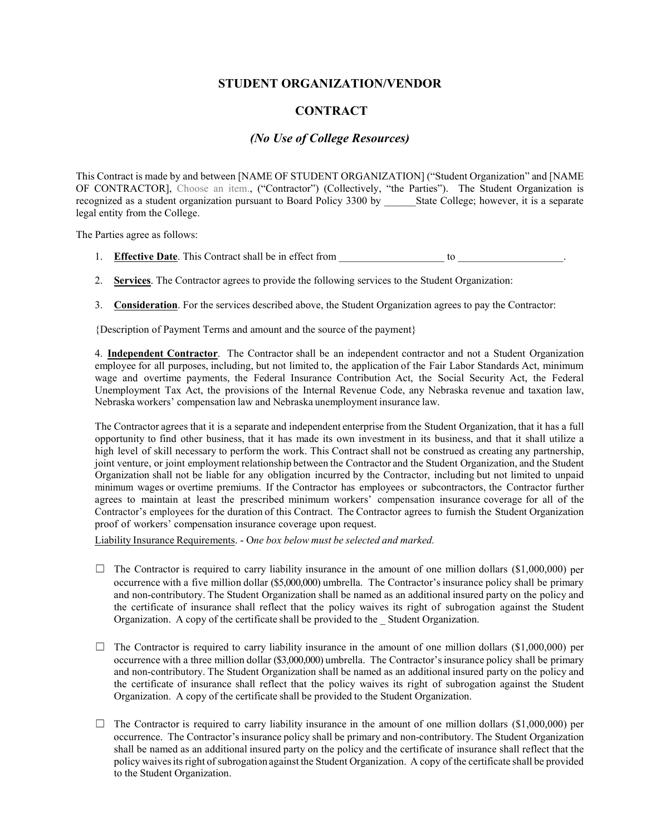#### **STUDENT ORGANIZATION/VENDOR**

#### **CONTRACT**

#### *(No Use of College Resources)*

This Contract is made by and between [NAME OF STUDENT ORGANIZATION] ("Student Organization" and [NAME OF CONTRACTOR], Choose an item., ("Contractor") (Collectively, "the Parties"). The Student Organization is recognized as a student organization pursuant to Board Policy 3300 by \_\_\_\_\_\_State College; however, it is a separate legal entity from the College.

The Parties agree as follows:

- 1. **Effective Date**. This Contract shall be in effect from to to contract shall be in effect from the state of the state of the state of the state of the state of the state of the state of the state of the state of the sta
- 2. **Services**. The Contractor agrees to provide the following services to the Student Organization:
- 3. **Consideration**. For the services described above, the Student Organization agrees to pay the Contractor:

{Description of Payment Terms and amount and the source of the payment}

4. **Independent Contractor**. The Contractor shall be an independent contractor and not a Student Organization employee for all purposes, including, but not limited to, the application of the Fair Labor Standards Act, minimum wage and overtime payments, the Federal Insurance Contribution Act, the Social Security Act, the Federal Unemployment Tax Act, the provisions of the Internal Revenue Code, any Nebraska revenue and taxation law, Nebraska workers' compensation law and Nebraska unemployment insurance law.

The Contractor agrees that it is a separate and independent enterprise from the Student Organization, that it has a full opportunity to find other business, that it has made its own investment in its business, and that it shall utilize a high level of skill necessary to perform the work. This Contract shall not be construed as creating any partnership, joint venture, or joint employment relationship between the Contractor and the Student Organization, and the Student Organization shall not be liable for any obligation incurred by the Contractor, including but not limited to unpaid minimum wages or overtime premiums. If the Contractor has employees or subcontractors, the Contractor further agrees to maintain at least the prescribed minimum workers' compensation insurance coverage for all of the Contractor's employees for the duration of this Contract. The Contractor agrees to furnish the Student Organization proof of workers' compensation insurance coverage upon request.

Liability Insurance Requirements. - O*ne box below must be selected and marked.*

- $\Box$  The Contractor is required to carry liability insurance in the amount of one million dollars (\$1,000,000) per occurrence with a five million dollar (\$5,000,000) umbrella. The Contractor'sinsurance policy shall be primary and non-contributory. The Student Organization shall be named as an additional insured party on the policy and the certificate of insurance shall reflect that the policy waives its right of subrogation against the Student Organization. A copy of the certificate shall be provided to the \_ Student Organization.
- $\Box$  The Contractor is required to carry liability insurance in the amount of one million dollars (\$1,000,000) per occurrence with a three million dollar (\$3,000,000) umbrella. The Contractor'sinsurance policy shall be primary and non-contributory. The Student Organization shall be named as an additional insured party on the policy and the certificate of insurance shall reflect that the policy waives its right of subrogation against the Student Organization. A copy of the certificate shall be provided to the Student Organization.
- $\Box$  The Contractor is required to carry liability insurance in the amount of one million dollars (\$1,000,000) per occurrence. The Contractor'sinsurance policy shall be primary and non-contributory. The Student Organization shall be named as an additional insured party on the policy and the certificate of insurance shall reflect that the policy waives its right of subrogation against the Student Organization. A copy of the certificate shall be provided to the Student Organization.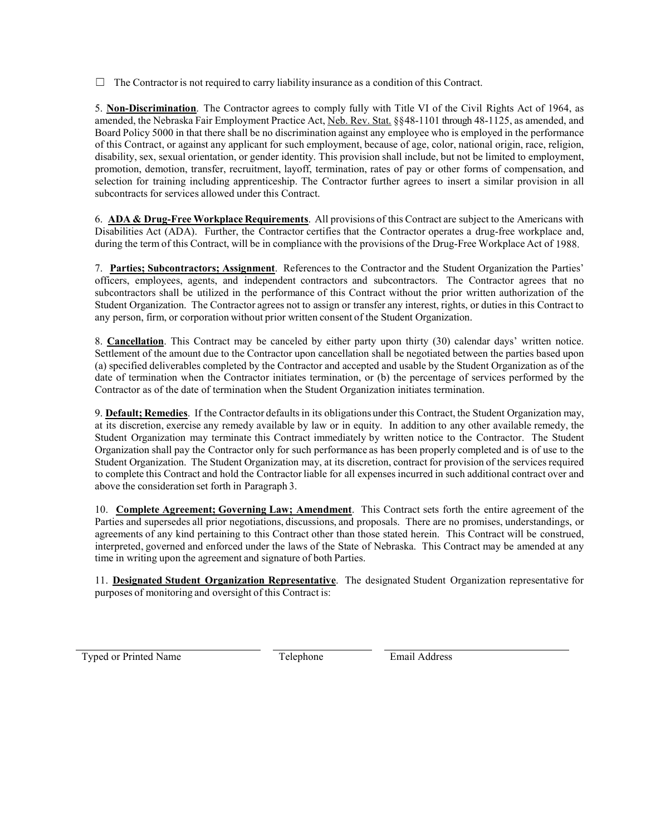$\Box$  The Contractor is not required to carry liability insurance as a condition of this Contract.

5. **Non-Discrimination**. The Contractor agrees to comply fully with Title VI of the Civil Rights Act of 1964, as amended, the Nebraska Fair Employment Practice Act, Neb. Rev. Stat. §§48-1101 through 48-1125, as amended, and Board Policy 5000 in that there shall be no discrimination against any employee who is employed in the performance of this Contract, or against any applicant for such employment, because of age, color, national origin, race, religion, disability, sex, sexual orientation, or gender identity. This provision shall include, but not be limited to employment, promotion, demotion, transfer, recruitment, layoff, termination, rates of pay or other forms of compensation, and selection for training including apprenticeship. The Contractor further agrees to insert a similar provision in all subcontracts for services allowed under this Contract.

6. **ADA & Drug-Free Workplace Requirements**. All provisions of this Contract are subject to the Americans with Disabilities Act (ADA). Further, the Contractor certifies that the Contractor operates a drug-free workplace and, during the term of this Contract, will be in compliance with the provisions of the Drug-Free Workplace Act of 1988.

7. **Parties; Subcontractors; Assignment**. References to the Contractor and the Student Organization the Parties' officers, employees, agents, and independent contractors and subcontractors. The Contractor agrees that no subcontractors shall be utilized in the performance of this Contract without the prior written authorization of the Student Organization. The Contractor agrees not to assign or transfer any interest, rights, or duties in this Contract to any person, firm, or corporation without prior written consent of the Student Organization.

8. **Cancellation**. This Contract may be canceled by either party upon thirty (30) calendar days' written notice. Settlement of the amount due to the Contractor upon cancellation shall be negotiated between the parties based upon (a) specified deliverables completed by the Contractor and accepted and usable by the Student Organization as of the date of termination when the Contractor initiates termination, or (b) the percentage of services performed by the Contractor as of the date of termination when the Student Organization initiates termination.

9. **Default; Remedies**. If the Contractor defaultsin its obligations under this Contract, the Student Organization may, at its discretion, exercise any remedy available by law or in equity. In addition to any other available remedy, the Student Organization may terminate this Contract immediately by written notice to the Contractor. The Student Organization shall pay the Contractor only for such performance as has been properly completed and is of use to the Student Organization. The Student Organization may, at its discretion, contract for provision of the services required to complete this Contract and hold the Contractor liable for all expensesincurred in such additional contract over and above the consideration set forth in Paragraph 3.

10. **Complete Agreement; Governing Law; Amendment**. This Contract sets forth the entire agreement of the Parties and supersedes all prior negotiations, discussions, and proposals. There are no promises, understandings, or agreements of any kind pertaining to this Contract other than those stated herein. This Contract will be construed, interpreted, governed and enforced under the laws of the State of Nebraska. This Contract may be amended at any time in writing upon the agreement and signature of both Parties.

11. **Designated Student Organization Representative**. The designated Student Organization representative for purposes of monitoring and oversight of this Contract is:

Typed or Printed Name Telephone Email Address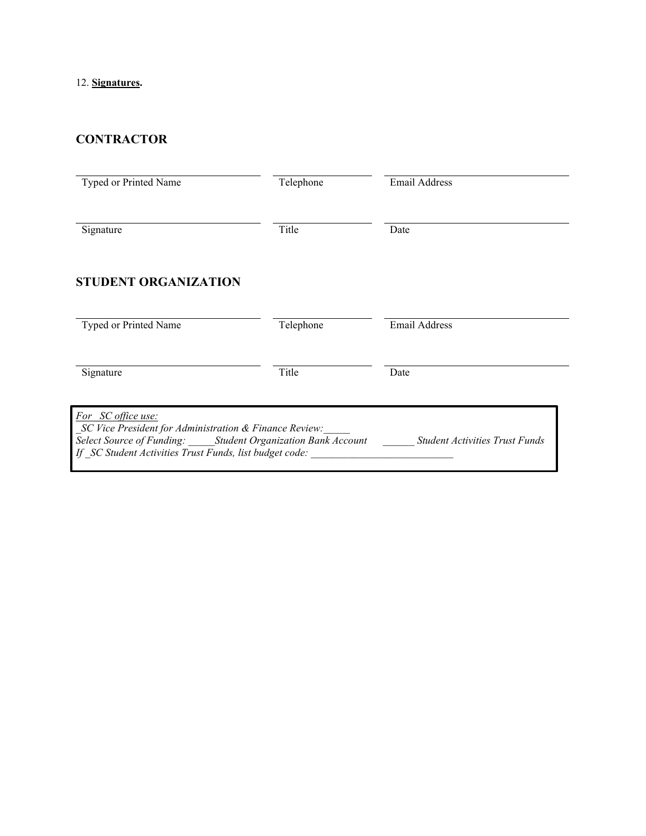### 12. **Signatures.**

# **CONTRACTOR**

| Typed or Printed Name                                                                                                                                                                                  | Telephone | <b>Email Address</b>                  |
|--------------------------------------------------------------------------------------------------------------------------------------------------------------------------------------------------------|-----------|---------------------------------------|
| Signature                                                                                                                                                                                              | Title     | Date                                  |
| <b>STUDENT ORGANIZATION</b>                                                                                                                                                                            |           |                                       |
| Typed or Printed Name                                                                                                                                                                                  | Telephone | <b>Email Address</b>                  |
| Signature                                                                                                                                                                                              | Title     | Date                                  |
| For SC office use:<br>SC Vice President for Administration & Finance Review:<br>Select Source of Funding: Student Organization Bank Account<br>If SC Student Activities Trust Funds, list budget code: |           | <b>Student Activities Trust Funds</b> |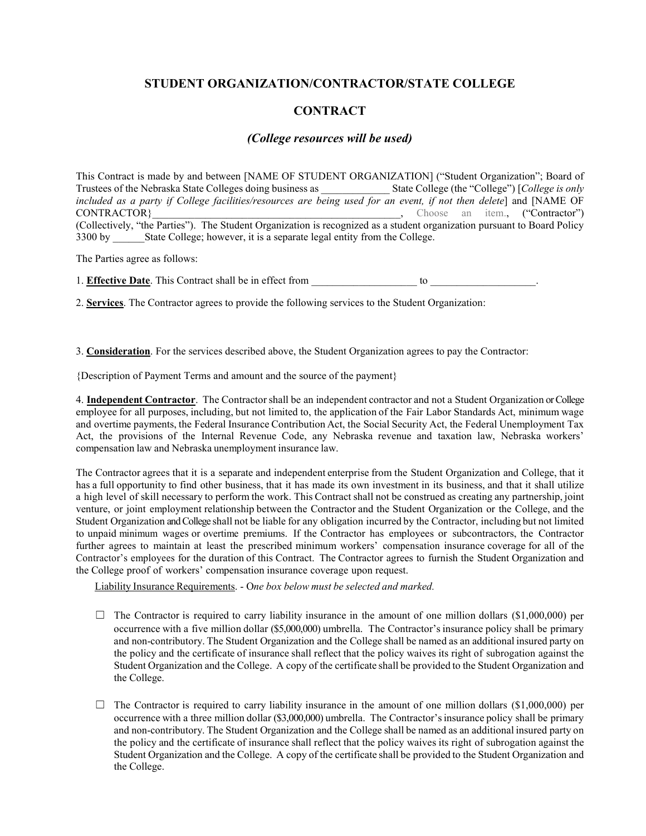#### **STUDENT ORGANIZATION/CONTRACTOR/STATE COLLEGE**

#### **CONTRACT**

#### *(College resources will be used)*

This Contract is made by and between [NAME OF STUDENT ORGANIZATION] ("Student Organization"; Board of Trustees of the Nebraska State Colleges doing business as \_\_\_\_\_\_\_\_ *included as a party if College facilities/resources are being used for an event, if not then delete*] and [NAME OF CONTRACTOR} CONTRACTOR ("Contractor") (Collectively, "the Parties"). The Student Organization is recognized as a student organization pursuant to Board Policy 3300 by State College; however, it is a separate legal entity from the College.

The Parties agree as follows:

1. **Effective Date**. This Contract shall be in effect from to  $\frac{1}{2}$  to  $\frac{1}{2}$ 

2. **Services**. The Contractor agrees to provide the following services to the Student Organization:

3. **Consideration**. For the services described above, the Student Organization agrees to pay the Contractor:

{Description of Payment Terms and amount and the source of the payment}

4. **Independent Contractor**. The Contractorshall be an independent contractor and not a Student Organization or College employee for all purposes, including, but not limited to, the application of the Fair Labor Standards Act, minimum wage and overtime payments, the Federal Insurance Contribution Act, the Social Security Act, the Federal Unemployment Tax Act, the provisions of the Internal Revenue Code, any Nebraska revenue and taxation law, Nebraska workers' compensation law and Nebraska unemployment insurance law.

The Contractor agrees that it is a separate and independent enterprise from the Student Organization and College, that it has a full opportunity to find other business, that it has made its own investment in its business, and that it shall utilize a high level of skill necessary to perform the work. This Contract shall not be construed as creating any partnership, joint venture, or joint employment relationship between the Contractor and the Student Organization or the College, and the Student Organization and College shall not be liable for any obligation incurred by the Contractor, including but not limited to unpaid minimum wages or overtime premiums. If the Contractor has employees or subcontractors, the Contractor further agrees to maintain at least the prescribed minimum workers' compensation insurance coverage for all of the Contractor's employees for the duration of this Contract. The Contractor agrees to furnish the Student Organization and the College proof of workers' compensation insurance coverage upon request.

Liability Insurance Requirements. - O*ne box below must be selected and marked.*

- $\Box$  The Contractor is required to carry liability insurance in the amount of one million dollars (\$1,000,000) per occurrence with a five million dollar (\$5,000,000) umbrella. The Contractor'sinsurance policy shall be primary and non-contributory. The Student Organization and the College shall be named as an additional insured party on the policy and the certificate of insurance shall reflect that the policy waives its right of subrogation against the Student Organization and the College. A copy of the certificate shall be provided to the Student Organization and the College.
- $\Box$  The Contractor is required to carry liability insurance in the amount of one million dollars (\$1,000,000) per occurrence with a three million dollar (\$3,000,000) umbrella. The Contractor'sinsurance policy shall be primary and non-contributory. The Student Organization and the College shall be named as an additional insured party on the policy and the certificate of insurance shall reflect that the policy waives its right of subrogation against the Student Organization and the College. A copy of the certificate shall be provided to the Student Organization and the College.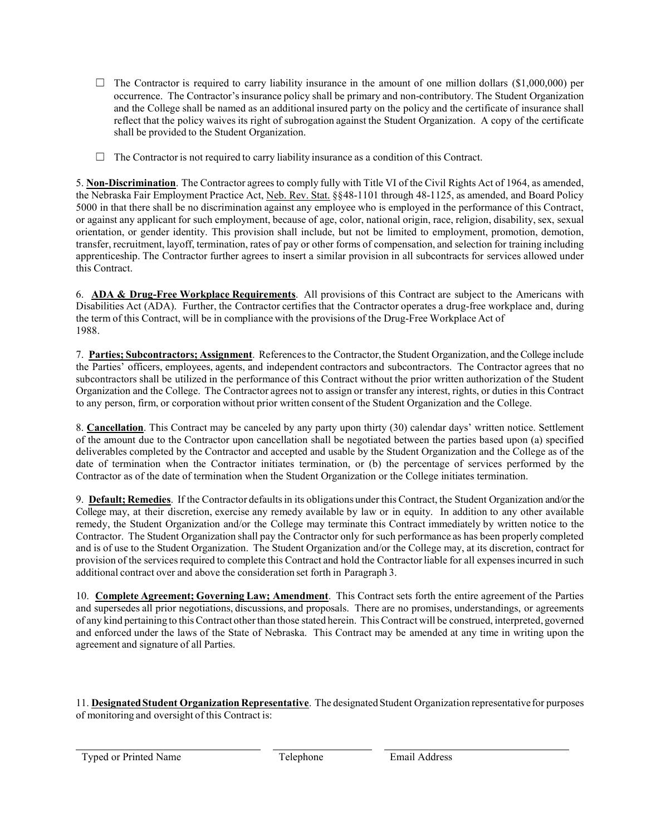- $\Box$  The Contractor is required to carry liability insurance in the amount of one million dollars (\$1,000,000) per occurrence. The Contractor'sinsurance policy shall be primary and non-contributory. The Student Organization and the College shall be named as an additional insured party on the policy and the certificate of insurance shall reflect that the policy waives its right of subrogation against the Student Organization. A copy of the certificate shall be provided to the Student Organization.
- ☐ The Contractor is not required to carry liability insurance as a condition of this Contract.

5. **Non-Discrimination**. The Contractor agreesto comply fully with Title VI of the Civil Rights Act of 1964, as amended, the Nebraska Fair Employment Practice Act, Neb. Rev. Stat. §§48-1101 through 48-1125, as amended, and Board Policy 5000 in that there shall be no discrimination against any employee who is employed in the performance of this Contract, or against any applicant for such employment, because of age, color, national origin, race, religion, disability, sex, sexual orientation, or gender identity. This provision shall include, but not be limited to employment, promotion, demotion, transfer, recruitment, layoff, termination, rates of pay or other forms of compensation, and selection for training including apprenticeship. The Contractor further agrees to insert a similar provision in all subcontracts for services allowed under this Contract.

6. **ADA & Drug-Free Workplace Requirements**. All provisions of this Contract are subject to the Americans with Disabilities Act (ADA). Further, the Contractor certifies that the Contractor operates a drug-free workplace and, during the term of this Contract, will be in compliance with the provisions of the Drug-Free Workplace Act of 1988.

7. **Parties; Subcontractors; Assignment**. Referencesto the Contractor, the Student Organization, and the College include the Parties' officers, employees, agents, and independent contractors and subcontractors. The Contractor agrees that no subcontractors shall be utilized in the performance of this Contract without the prior written authorization of the Student Organization and the College. The Contractor agrees not to assign or transfer any interest, rights, or dutiesin this Contract to any person, firm, or corporation without prior written consent of the Student Organization and the College.

8. **Cancellation**. This Contract may be canceled by any party upon thirty (30) calendar days' written notice. Settlement of the amount due to the Contractor upon cancellation shall be negotiated between the parties based upon (a) specified deliverables completed by the Contractor and accepted and usable by the Student Organization and the College as of the date of termination when the Contractor initiates termination, or (b) the percentage of services performed by the Contractor as of the date of termination when the Student Organization or the College initiates termination.

9. **Default; Remedies**. If the Contractor defaultsin its obligations under this Contract, the Student Organization and/or the College may, at their discretion, exercise any remedy available by law or in equity. In addition to any other available remedy, the Student Organization and/or the College may terminate this Contract immediately by written notice to the Contractor. The Student Organization shall pay the Contractor only for such performance as has been properly completed and is of use to the Student Organization. The Student Organization and/or the College may, at its discretion, contract for provision of the servicesrequired to complete this Contract and hold the Contractorliable for all expensesincurred in such additional contract over and above the consideration set forth in Paragraph 3.

10. **Complete Agreement; Governing Law; Amendment**. This Contract sets forth the entire agreement of the Parties and supersedes all prior negotiations, discussions, and proposals. There are no promises, understandings, or agreements of any kind pertaining to thisContract otherthan those stated herein. ThisContract will be construed, interpreted, governed and enforced under the laws of the State of Nebraska. This Contract may be amended at any time in writing upon the agreement and signature of all Parties.

11. **DesignatedStudent Organization Representative**. The designatedStudent Organization representative for purposes of monitoring and oversight of this Contract is:

Typed or Printed Name Telephone Telephone Email Address